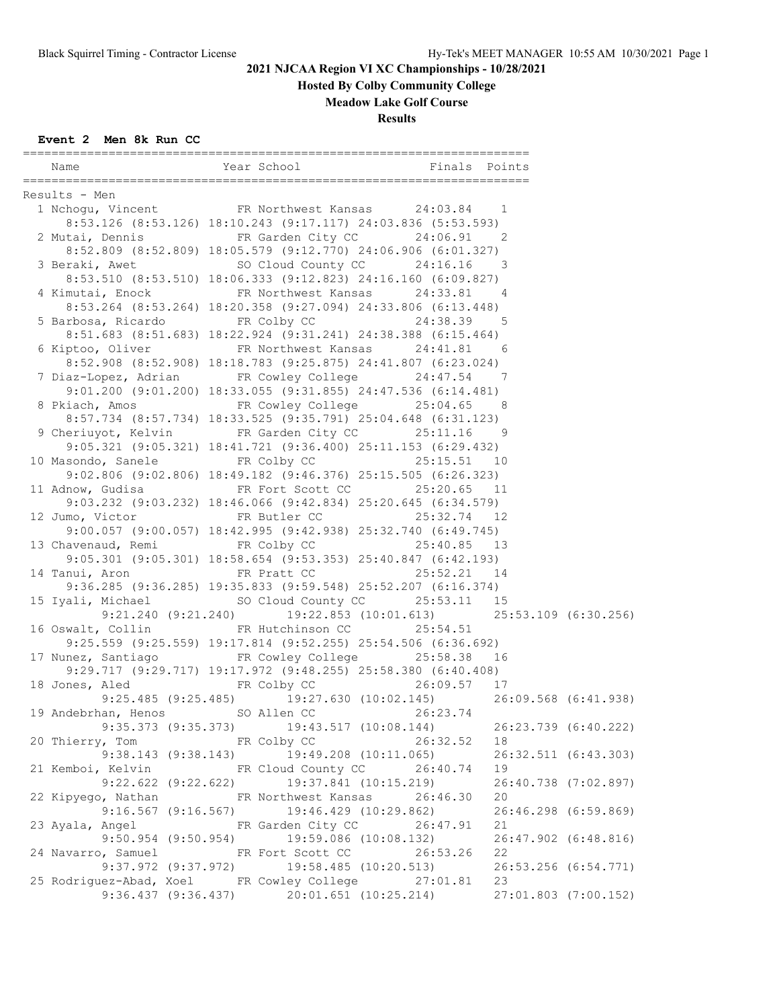**Hosted By Colby Community College**

**Meadow Lake Golf Course**

**Results**

| Name                                              | Year School Finals Points                                                                   |                       |    |                      |
|---------------------------------------------------|---------------------------------------------------------------------------------------------|-----------------------|----|----------------------|
| Results - Men                                     |                                                                                             |                       |    |                      |
| 1 Nchogu, Vincent FR Northwest Kansas 24:03.84 1  |                                                                                             |                       |    |                      |
|                                                   | 8:53.126 (8:53.126) 18:10.243 (9:17.117) 24:03.836 (5:53.593)                               |                       |    |                      |
| 2 Mutai, Dennis FR Garden City CC 24:06.91 2      |                                                                                             |                       |    |                      |
|                                                   | 8:52.809 (8:52.809) 18:05.579 (9:12.770) 24:06.906 (6:01.327)                               |                       |    |                      |
| 3 Beraki, Awet 50 Cloud County CC 24:16.16 3      |                                                                                             |                       |    |                      |
|                                                   | 8:53.510 (8:53.510) 18:06.333 (9:12.823) 24:16.160 (6:09.827)                               |                       |    |                      |
| 4 Kimutai, Enock FR Northwest Kansas 24:33.81 4   |                                                                                             |                       |    |                      |
|                                                   | 8:53.264 (8:53.264) 18:20.358 (9:27.094) 24:33.806 (6:13.448)                               |                       |    |                      |
| 5 Barbosa, Ricardo 6 FR Colby CC 24:38.39 5       |                                                                                             |                       |    |                      |
|                                                   | 8:51.683 (8:51.683) 18:22.924 (9:31.241) 24:38.388 (6:15.464)                               |                       |    |                      |
| 6 Kiptoo, Oliver 6 FR Northwest Kansas 24:41.81 6 |                                                                                             |                       |    |                      |
|                                                   | 8:52.908 (8:52.908) 18:18.783 (9:25.875) 24:41.807 (6:23.024)                               |                       |    |                      |
| 7 Diaz-Lopez, Adrian FR Cowley College 24:47.54 7 |                                                                                             |                       |    |                      |
|                                                   | 9:01.200 (9:01.200) 18:33.055 (9:31.855) 24:47.536 (6:14.481)                               |                       |    |                      |
| 8 Pkiach, Amos FR Cowley College 25:04.65 8       |                                                                                             |                       |    |                      |
|                                                   | 8:57.734 (8:57.734) 18:33.525 (9:35.791) 25:04.648 (6:31.123)                               |                       |    |                      |
| 9 Cheriuyot, Kelvin FR Garden City CC 25:11.16 9  |                                                                                             |                       |    |                      |
|                                                   | 9:05.321 (9:05.321) 18:41.721 (9:36.400) 25:11.153 (6:29.432)                               |                       |    |                      |
| 10 Masondo, Sanele FR Colby CC 25:15.51 10        |                                                                                             |                       |    |                      |
|                                                   | 9:02.806 (9:02.806) 18:49.182 (9:46.376) 25:15.505 (6:26.323)                               |                       |    |                      |
| 11 Adnow, Gudisa 6. FR Fort Scott CC 25:20.65 11  |                                                                                             |                       |    |                      |
|                                                   | 9:03.232 (9:03.232) 18:46.066 (9:42.834) 25:20.645 (6:34.579)                               |                       |    |                      |
| 12 Jumo, Victor FR Butler CC 25:32.74 12          |                                                                                             |                       |    |                      |
|                                                   | 9:00.057 (9:00.057) 18:42.995 (9:42.938) 25:32.740 (6:49.745)                               |                       |    |                      |
| 13 Chavenaud, Remi 6. FR Colby CC 25:40.85 13     |                                                                                             |                       |    |                      |
|                                                   | 9:05.301 (9:05.301) 18:58.654 (9:53.353) 25:40.847 (6:42.193)                               |                       |    |                      |
| 14 Tanui, Aron FR Pratt CC 25:52.21 14            |                                                                                             |                       |    |                      |
|                                                   | 9:36.285 (9:36.285) 19:35.833 (9:59.548) 25:52.207 (6:16.374)                               |                       |    |                      |
| 15 Iyali, Michael SO Cloud County CC 25:53.11 15  |                                                                                             |                       |    |                      |
|                                                   | 9:21.240 (9:21.240) 19:22.853 (10:01.613) 25:53.109 (6:30.256)<br>FR Hutchinson CC 25:54.51 |                       |    |                      |
| 16 Oswalt, Collin                                 | 9:25.559 (9:25.559) 19:17.814 (9:52.255) 25:54.506 (6:36.692)                               |                       |    |                      |
| 17 Nunez, Santiago FR Cowley College 25:58.38 16  |                                                                                             |                       |    |                      |
|                                                   | 9:29.717 (9:29.717) 19:17.972 (9:48.255) 25:58.380 (6:40.408)                               |                       |    |                      |
| 18 Jones, Aled FR Colby CC 26:09.57 17            |                                                                                             |                       |    |                      |
|                                                   | 9:25.485 (9:25.485) 19:27.630 (10:02.145) 26:09.568 (6:41.938)                              |                       |    |                      |
| 19 Andebrhan, Henos SO Allen CC 26:23.74          |                                                                                             |                       |    |                      |
|                                                   | $9:35.373$ $(9:35.373)$ $19:43.517$ $(10:08.144)$                                           |                       |    | 26:23.739 (6:40.222) |
| 20 Thierry, Tom TR Colby CC                       |                                                                                             | 26:32.52              | 18 |                      |
|                                                   | $9:38.143$ (9:38.143) 19:49.208 (10:11.065)                                                 |                       |    | 26:32.511 (6:43.303) |
| 21 Kemboi, Kelvin FR Cloud County CC 26:40.74     |                                                                                             |                       | 19 |                      |
|                                                   | 9:22.622 (9:22.622) 19:37.841 (10:15.219)                                                   |                       |    | 26:40.738 (7:02.897) |
| 22 Kipyego, Nathan FR Northwest Kansas 26:46.30   |                                                                                             |                       | 20 |                      |
|                                                   | $9:16.567$ (9:16.567) 19:46.429 (10:29.862)                                                 |                       |    | 26:46.298 (6:59.869) |
| 23 Ayala, Angel North FR Garden City CC           |                                                                                             | 26:47.91              | 21 |                      |
| $9:50.954$ $(9:50.954)$                           |                                                                                             | 19:59.086 (10:08.132) |    | 26:47.902 (6:48.816) |
| 24 Navarro, Samuel                                | FR Fort Scott CC                                                                            | 26:53.26              | 22 |                      |
| $9:37.972$ $(9:37.972)$                           |                                                                                             | 19:58.485 (10:20.513) |    | 26:53.256 (6:54.771) |
| 25 Rodriguez-Abad, Xoel FR Cowley College         |                                                                                             | 27:01.81              | 23 |                      |
|                                                   | $9:36.437$ $(9:36.437)$ $20:01.651$ $(10:25.214)$                                           |                       |    | 27:01.803 (7:00.152) |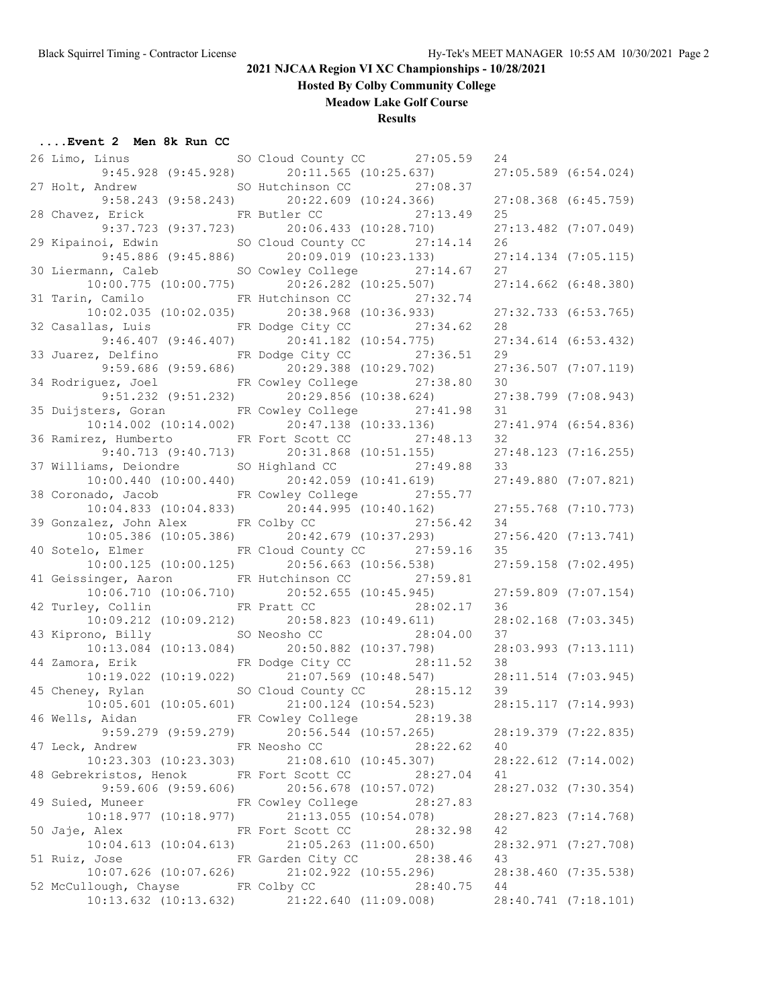**Hosted By Colby Community College**

**Meadow Lake Golf Course**

#### **Results**

| 26 Limo, Linus                          | SO Cloud County CC 27:05.59                                    | 24 |                          |
|-----------------------------------------|----------------------------------------------------------------|----|--------------------------|
|                                         | 9:45.928 (9:45.928) 20:11.565 (10:25.637) 27:05.589 (6:54.024) |    |                          |
|                                         | 27 Holt, Andrew SO Hutchinson CC 27:08.37                      |    |                          |
|                                         | 9:58.243 (9:58.243) 20:22.609 (10:24.366)                      |    | 27:08.368 (6:45.759)     |
|                                         | 28 Chavez, Erick FR Butler CC 27:13.49                         | 25 |                          |
|                                         | 9:37.723 (9:37.723) 20:06.433 (10:28.710)                      |    | 27:13.482 (7:07.049)     |
|                                         | 29 Kipainoi, Edwin SO Cloud County CC 27:14.14                 | 26 |                          |
|                                         | $9:45.886$ (9:45.886) 20:09.019 (10:23.133)                    |    | 27:14.134 (7:05.115)     |
|                                         | 30 Liermann, Caleb SO Cowley College 27:14.67                  | 27 |                          |
|                                         | 10:00.775 (10:00.775) 20:26.282 (10:25.507)                    |    | 27:14.662 (6:48.380)     |
|                                         | 31 Tarin, Camilo <b>ER Hutchinson CC</b> 27:32.74              |    |                          |
| $10:02.035$ $(10:02.035)$               | 20:38.968 (10:36.933)                                          |    | 27:32.733 (6:53.765)     |
|                                         | 32 Casallas, Luis FR Dodge City CC 27:34.62                    | 28 |                          |
|                                         | $9:46.407$ (9:46.407) 20:41.182 (10:54.775)                    |    | 27:34.614 (6:53.432)     |
|                                         | 33 Juarez, Delfino FR Dodge City CC 27:36.51                   | 29 |                          |
|                                         | 9:59.686 (9:59.686) 20:29.388 (10:29.702)                      |    | $27:36.507$ $(7:07.119)$ |
|                                         | 34 Rodriguez, Joel FR Cowley College 27:38.80                  | 30 |                          |
|                                         | $9:51.232$ $(9:51.232)$ $20:29.856$ $(10:38.624)$              |    | 27:38.799 (7:08.943)     |
|                                         | 35 Duijsters, Goran FR Cowley College 27:41.98                 | 31 |                          |
|                                         | $10:14.002$ $(10:14.002)$ $20:47.138$ $(10:33.136)$            |    | 27:41.974 (6:54.836)     |
|                                         | 36 Ramirez, Humberto FR Fort Scott CC 27:48.13                 | 32 |                          |
|                                         | $9:40.713$ $(9:40.713)$ $20:31.868$ $(10:51.155)$              |    | $27:48.123$ $(7:16.255)$ |
|                                         | 37 Williams, Deiondre SO Highland CC 27:49.88                  | 33 |                          |
|                                         | 10:00.440 (10:00.440) 20:42.059 (10:41.619)                    |    | 27:49.880 (7:07.821)     |
|                                         |                                                                |    |                          |
|                                         | 38 Coronado, Jacob FR Cowley College 27:55.77                  |    |                          |
|                                         | $10:04.833$ $(10:04.833)$ $20:44.995$ $(10:40.162)$            |    | 27:55.768 (7:10.773)     |
|                                         | 39 Gonzalez, John Alex FR Colby CC 27:56.42                    | 34 |                          |
|                                         | $10:05.386$ (10:05.386) $20:42.679$ (10:37.293)                |    | 27:56.420 (7:13.741)     |
|                                         | 40 Sotelo, Elmer FR Cloud County CC 27:59.16                   | 35 |                          |
|                                         | $10:00.125$ (10:00.125) $20:56.663$ (10:56.538)                |    | 27:59.158 (7:02.495)     |
|                                         | 41 Geissinger, Aaron FR Hutchinson CC 27:59.81                 |    |                          |
|                                         | 10:06.710 (10:06.710) 20:52.655 (10:45.945)                    |    | $27:59.809$ $(7:07.154)$ |
| 42 Turley, Collin FR Pratt CC           | 28:02.17                                                       | 36 |                          |
| 10:09.212 (10:09.212)                   | 20:58.823 (10:49.611)                                          |    | 28:02.168 (7:03.345)     |
|                                         | 43 Kiprono, Billy SO Neosho CC 28:04.00                        | 37 |                          |
| $10:13.084$ $(10:13.084)$               | 20:50.882 (10:37.798)                                          |    | 28:03.993 (7:13.111)     |
|                                         | 44 Zamora, Erik FR Dodge City CC 28:11.52                      | 38 |                          |
|                                         | 10:19.022 (10:19.022) 21:07.569 (10:48.547)                    |    | 28:11.514 (7:03.945)     |
|                                         | 45 Cheney, Rylan SO Cloud County CC 28:15.12                   | 39 |                          |
|                                         | $10:05.601$ (10:05.601) 21:00.124 (10:54.523)                  |    | 28:15.117 (7:14.993)     |
| 46 Wells, Aidan                         | FR Cowley College 28:19.38                                     |    |                          |
|                                         | $9:59.279$ (9:59.279) 20:56.544 (10:57.265)                    |    | 28:19.379 (7:22.835)     |
| 47 Leck, Andrew FR Neosho CC            | 28:22.62                                                       | 40 |                          |
|                                         | $10:23.303$ (10:23.303) 21:08.610 (10:45.307)                  |    | 28:22.612 (7:14.002)     |
| 48 Gebrekristos, Henok FR Fort Scott CC | 28:27.04                                                       | 41 |                          |
|                                         | $9:59.606$ (9:59.606) 20:56.678 (10:57.072)                    |    | 28:27.032 (7:30.354)     |
|                                         | 49 Suied, Muneer FR Cowley College 28:27.83                    |    |                          |
| 10:18.977(10:18.977)                    | 21:13.055 (10:54.078)                                          |    | 28:27.823 (7:14.768)     |
| 50 Jaje, Alex                           | FR Fort Scott CC<br>28:32.98                                   | 42 |                          |
| $10:04.613$ $(10:04.613)$               | 21:05.263 (11:00.650)                                          |    | 28:32.971 (7:27.708)     |
| 51 Ruiz, Jose                           | FR Garden City CC<br>28:38.46                                  | 43 |                          |
| $10:07.626$ $(10:07.626)$               | 21:02.922 (10:55.296)                                          |    | 28:38.460 (7:35.538)     |
| 52 McCullough, Chayse FR Colby CC       | 28:40.75                                                       | 44 |                          |
|                                         | $10:13.632$ (10:13.632) $21:22.640$ (11:09.008)                |    | 28:40.741 (7:18.101)     |
|                                         |                                                                |    |                          |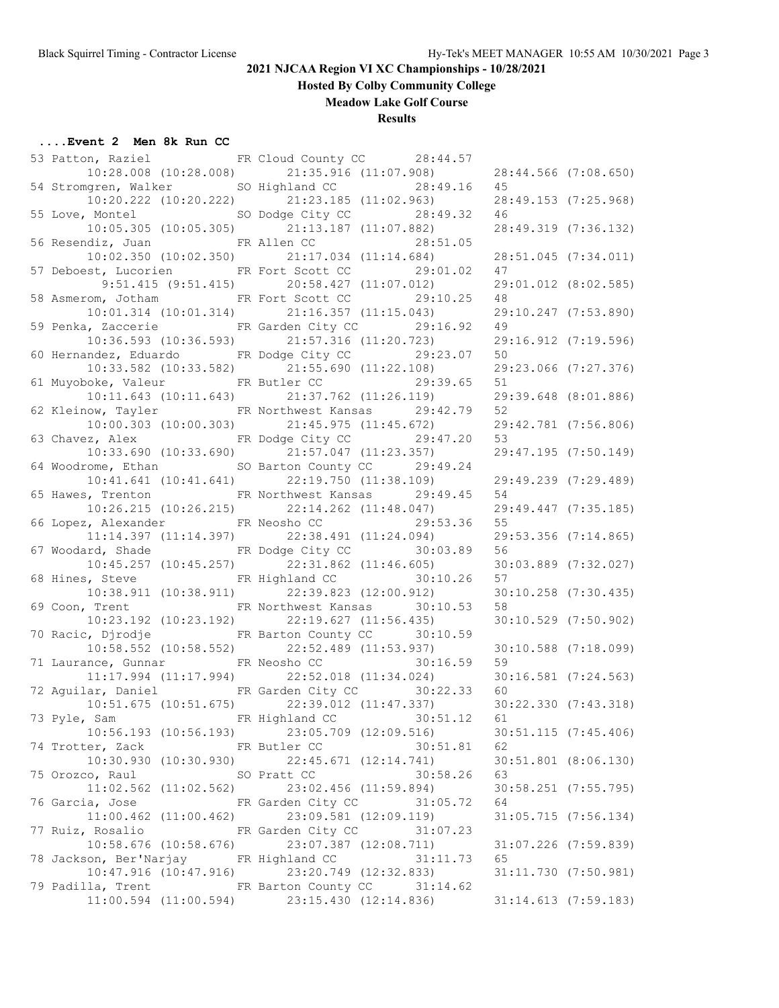**Hosted By Colby Community College**

**Meadow Lake Golf Course**

### **Results**

| 53 Patton, Raziel FR Cloud County CC 28:44.57                                                  |                |                            |    |                          |
|------------------------------------------------------------------------------------------------|----------------|----------------------------|----|--------------------------|
| $10:28.008$ (10:28.008) 21:35.916 (11:07.908) 28:44.566 (7:08.650)                             |                |                            |    |                          |
| 54 Stromgren, Walker SO Highland CC 28:49.16 45                                                |                |                            |    |                          |
| $10:20.222 (10:20.222) \qquad \qquad 21:23.185 (11:02.963) \qquad \qquad 28:49.153 (7:25.968)$ |                |                            |    |                          |
| 55 Love, Montel SO Dodge City CC 28:49.32 46                                                   |                |                            |    |                          |
| $10:05.305$ (10:05.305) 21:13.187 (11:07.882)                                                  |                |                            |    | 28:49.319 (7:36.132)     |
| 56 Resendiz, Juan FR Allen CC 28:51.05                                                         |                |                            |    |                          |
| $10:02.350$ (10:02.350) $21:17.034$ (11:14.684)                                                |                |                            |    | 28:51.045 (7:34.011)     |
|                                                                                                |                |                            | 47 |                          |
| 57 Deboest, Lucorien FR Fort Scott CC 29:01.02                                                 |                |                            |    |                          |
| $9:51.415$ (9:51.415) 20:58.427 (11:07.012)                                                    |                |                            |    | 29:01.012 (8:02.585)     |
| 58 Asmerom, Jotham FR Fort Scott CC 29:10.25                                                   |                |                            | 48 |                          |
| $10:01.314$ $(10:01.314)$ $21:16.357$ $(11:15.043)$                                            |                |                            |    | 29:10.247 (7:53.890)     |
| 59 Penka, Zaccerie FR Garden City CC 29:16.92                                                  |                |                            | 49 |                          |
| $10:36.593$ (10:36.593) 21:57.316 (11:20.723)                                                  |                |                            |    | 29:16.912 (7:19.596)     |
| 60 Hernandez, Eduardo FR Dodge City CC 29:23.07                                                |                |                            | 50 |                          |
| $10:33.582$ (10:33.582) $21:55.690$ (11:22.108)                                                |                |                            |    | 29:23.066 (7:27.376)     |
| 61 Muyoboke, Valeur FR Butler CC 29:39.65                                                      |                |                            | 51 |                          |
| 10:11.643 (10:11.643) 21:37.762 (11:26.119)                                                    |                |                            |    | 29:39.648 (8:01.886)     |
| 62 Kleinow, Tayler FR Northwest Kansas 29:42.79                                                |                |                            | 52 |                          |
| $10:00.303$ (10:00.303) 21:45.975 (11:45.672)                                                  |                |                            |    | 29:42.781 (7:56.806)     |
| 63 Chavez, Alex FR Dodge City CC 29:47.20                                                      |                |                            | 53 |                          |
| $10:33.690$ (10:33.690) $21:57.047$ (11:23.357)                                                |                |                            |    | 29:47.195 (7:50.149)     |
| 64 Woodrome, Ethan SO Barton County CC 29:49.24                                                |                |                            |    |                          |
| $10:41.641$ (10:41.641) 22:19.750 (11:38.109)                                                  |                |                            |    | 29:49.239 (7:29.489)     |
| 65 Hawes, Trenton FR Northwest Kansas 29:49.45                                                 |                |                            | 54 |                          |
| $10:26.215$ (10:26.215) 22:14.262 (11:48.047)                                                  |                |                            |    | 29:49.447 (7:35.185)     |
| 66 Lopez, Alexander FR Neosho CC 29:53.36                                                      |                |                            | 55 |                          |
| $11:14.397$ (11:14.397) $22:38.491$ (11:24.094)                                                |                |                            |    | 29:53.356 (7:14.865)     |
| 67 Woodard, Shade FR Dodge City CC 30:03.89                                                    |                |                            | 56 |                          |
| $10:45.257$ (10:45.257) 22:31.862 (11:46.605)                                                  |                |                            |    | 30:03.889 (7:32.027)     |
| 68 Hines, Steve 50:10.26                                                                       |                |                            | 57 |                          |
| $10:38.911$ $(10:38.911)$ $22:39.823$ $(12:00.912)$                                            |                |                            |    | 30:10.258 (7:30.435)     |
| 69 Coon, Trent FR Northwest Kansas 30:10.53                                                    |                |                            | 58 |                          |
| $10:23.192$ (10:23.192) 22:19.627 (11:56.435)                                                  |                |                            |    | 30:10.529 (7:50.902)     |
| 70 Racic, Djrodje <b>FR Barton County CC</b> 30:10.59                                          |                |                            |    |                          |
|                                                                                                |                |                            |    |                          |
| $10:58.552$ (10:58.552) 22:52.489 (11:53.937)                                                  |                |                            |    | $30:10.588$ $(7:18.099)$ |
| 71 Laurance, Gunnar FR Neosho CC 30:16.59                                                      |                |                            | 59 |                          |
| $11:17.994$ $(11:17.994)$ $22:52.018$ $(11:34.024)$                                            |                |                            |    | 30:16.581 (7:24.563)     |
| 72 Aguilar, Daniel FR Garden City CC 30:22.33                                                  |                |                            | 60 |                          |
| 10:51.675 (10:51.675) 22:39.012 (11:47.337)                                                    |                |                            |    | 30:22.330 (7:43.318)     |
| 73 Pyle, Sam Manuel FR Highland CC 30:51.12                                                    |                |                            | 61 |                          |
| $10:56.193$ (10:56.193) $23:05.709$ (12:09.516)                                                |                |                            |    | 30:51.115 (7:45.406)     |
| 74 Trotter, Zack FR Butler CC                                                                  |                | 30:51.81                   | 62 |                          |
| $10:30.930$ $(10:30.930)$ $22:45.671$ $(12:14.741)$                                            |                |                            |    | 30:51.801 (8:06.130)     |
| 75 Orozco, Raul                                                                                | SO Pratt CC    | 30:58.26                   | 63 |                          |
| $11:02.562$ $(11:02.562)$                                                                      |                | 23:02.456 (11:59.894)      |    | 30:58.251 (7:55.795)     |
| 76 Garcia, Jose                                                                                |                | FR Garden City CC 31:05.72 | 64 |                          |
| $11:00.462$ $(11:00.462)$                                                                      |                | 23:09.581 (12:09.119)      |    | $31:05.715$ $(7:56.134)$ |
| 77 Ruiz, Rosalio Karden City CC                                                                |                | 31:07.23                   |    |                          |
| $10:58.676$ $(10:58.676)$                                                                      |                | 23:07.387 (12:08.711)      |    | $31:07.226$ $(7:59.839)$ |
| 78 Jackson, Ber'Narjay                                                                         | FR Highland CC | 31:11.73                   | 65 |                          |
| $10:47.916$ $(10:47.916)$                                                                      |                | 23:20.749 (12:32.833)      |    | 31:11.730 (7:50.981)     |
| 79 Padilla, Trent FR Barton County CC                                                          |                | 31:14.62                   |    |                          |
| $11:00.594$ $(11:00.594)$                                                                      |                | 23:15.430 (12:14.836)      |    | $31:14.613$ $(7:59.183)$ |
|                                                                                                |                |                            |    |                          |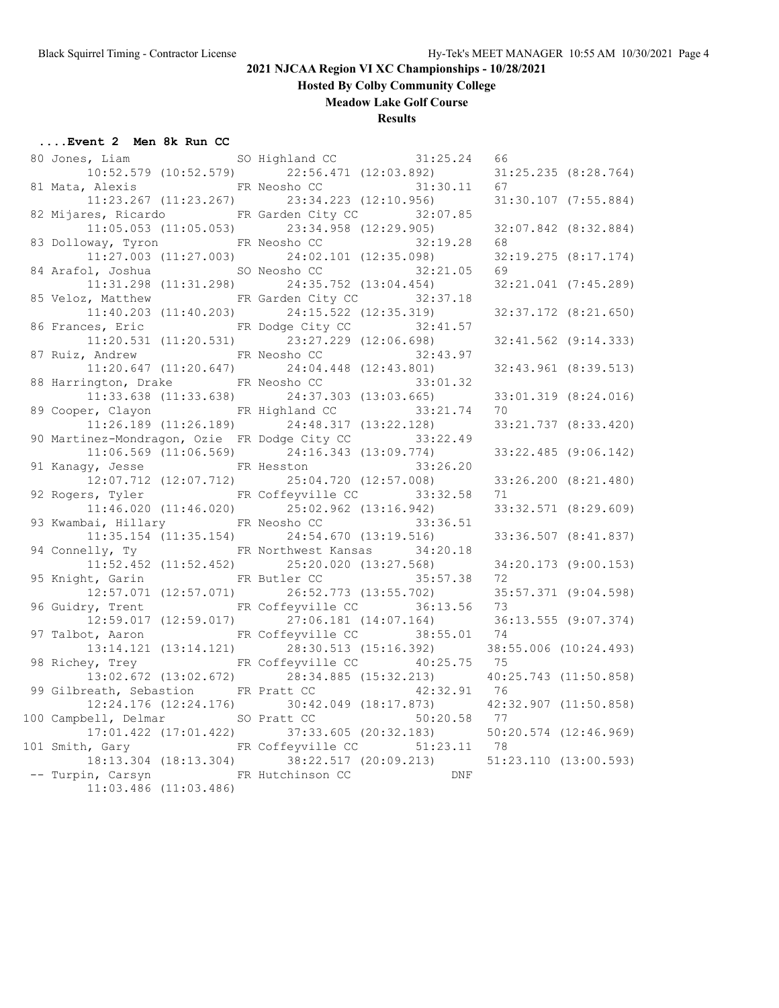**Hosted By Colby Community College**

**Meadow Lake Golf Course**

#### **Results**

| 80 Jones, Liam                               | SO Highland CC 31:25.24                             | 66                        |                          |
|----------------------------------------------|-----------------------------------------------------|---------------------------|--------------------------|
|                                              | $10:52.579$ (10:52.579) 22:56.471 (12:03.892)       |                           | $31:25.235$ $(8:28.764)$ |
| 81 Mata, Alexis                              | FR Neosho CC<br>31:30.11                            | 67                        |                          |
| $11:23.267$ $(11:23.267)$                    | 23:34.223 (12:10.956)                               |                           | 31:30.107 (7:55.884)     |
| 82 Mijares, Ricardo                          | FR Garden City CC<br>32:07.85                       |                           |                          |
| $11:05.053$ $(11:05.053)$                    | 23:34.958 (12:29.905)                               |                           | 32:07.842 (8:32.884)     |
| 83 Dolloway, Tyron                           | FR Neosho CC<br>32:19.28                            | 68                        |                          |
|                                              | $11:27.003$ $(11:27.003)$ $24:02.101$ $(12:35.098)$ |                           | $32:19.275$ $(8:17.174)$ |
| 84 Arafol, Joshua SO Neosho CC               | 32:21.05                                            | 69                        |                          |
| $11:31.298$ $(11:31.298)$                    | 24:35.752 (13:04.454)                               |                           | 32:21.041 (7:45.289)     |
|                                              | 85 Veloz, Matthew FR Garden City CC 32:37.18        |                           |                          |
| $11:40.203$ $(11:40.203)$                    | 24:15.522 (12:35.319)                               |                           | 32:37.172 (8:21.650)     |
|                                              | 86 Frances, Eric FR Dodge City CC 32:41.57          |                           |                          |
|                                              | $11:20.531$ $(11:20.531)$ $23:27.229$ $(12:06.698)$ |                           | 32:41.562 (9:14.333)     |
| 87 Ruiz, Andrew                              | FR Neosho CC<br>32:43.97                            |                           |                          |
| $11:20.647$ $(11:20.647)$                    | 24:04.448 (12:43.801)                               |                           | 32:43.961 (8:39.513)     |
| 88 Harrington, Drake FR Neosho CC            | 33:01.32                                            |                           |                          |
|                                              | $11:33.638$ (11:33.638) $24:37.303$ (13:03.665)     |                           | 33:01.319 (8:24.016)     |
|                                              | 89 Cooper, Clayon FR Highland CC 33:21.74           | 70                        |                          |
|                                              | $11:26.189$ (11:26.189) $24:48.317$ (13:22.128)     |                           | 33:21.737 (8:33.420)     |
| 90 Martinez-Mondragon, Ozie FR Dodge City CC | 33:22.49                                            |                           |                          |
|                                              | $11:06.569$ (11:06.569) 24:16.343 (13:09.774)       |                           | 33:22.485 (9:06.142)     |
| 91 Kanagy, Jesse FR Hesston                  | 33:26.20                                            |                           |                          |
|                                              | 12:07.712 (12:07.712) 25:04.720 (12:57.008)         |                           | 33:26.200 (8:21.480)     |
|                                              | 92 Rogers, Tyler FR Coffeyville CC 33:32.58         | 71                        |                          |
| $11:46.020$ $(11:46.020)$                    | 25:02.962 (13:16.942)                               |                           | 33:32.571 (8:29.609)     |
| 93 Kwambai, Hillary                          | 33:36.51<br>FR Neosho CC                            |                           |                          |
| $11:35.154$ $(11:35.154)$                    | 24:54.670 (13:19.516)                               |                           | 33:36.507 (8:41.837)     |
| 94 Connelly, Ty                              | FR Northwest Kansas 34:20.18                        |                           |                          |
|                                              | $11:52.452$ (11:52.452) $25:20.020$ (13:27.568)     |                           | 34:20.173 (9:00.153)     |
| 95 Knight, Garin FR Butler CC                | 35:57.38                                            | 72                        |                          |
| 12:57.071 (12:57.071)                        | 26:52.773 (13:55.702)                               |                           | 35:57.371 (9:04.598)     |
|                                              | 96 Guidry, Trent FR Coffeyville CC 36:13.56         | 73                        |                          |
| 12:59.017 (12:59.017)                        | $27:06.181$ $(14:07.164)$                           |                           | 36:13.555 (9:07.374)     |
|                                              | 97 Talbot, Aaron FR Coffeyville CC 38:55.01         | 74                        |                          |
|                                              | 13:14.121 (13:14.121) 28:30.513 (15:16.392)         | 38:55.006 (10:24.493)     |                          |
| 98 Richey, Trey FR Coffeyville CC            | 40:25.75                                            | 75                        |                          |
| 13:02.672 (13:02.672)                        | 28:34.885 (15:32.213)                               | 40:25.743 (11:50.858)     |                          |
| 99 Gilbreath, Sebastion FR Pratt CC          | 42:32.91                                            | 76                        |                          |
|                                              | 12:24.176 (12:24.176) 30:42.049 (18:17.873)         | 42:32.907 (11:50.858)     |                          |
|                                              | 100 Campbell, Delmar SO Pratt CC 50:20.58 77        |                           |                          |
| 17:01.422 (17:01.422)                        | $37:33.605$ (20:32.183)                             | $50:20.574$ $(12:46.969)$ |                          |
| 101 Smith, Gary                              | FR Coffeyville CC<br>51:23.11 78                    |                           |                          |
| 18:13.304 (18:13.304)                        | 38:22.517 (20:09.213)                               | 51:23.110 (13:00.593)     |                          |
| -- Turpin, Carsyn                            | FR Hutchinson CC<br><b>DNF</b>                      |                           |                          |
| $11:03.486$ $(11:03.486)$                    |                                                     |                           |                          |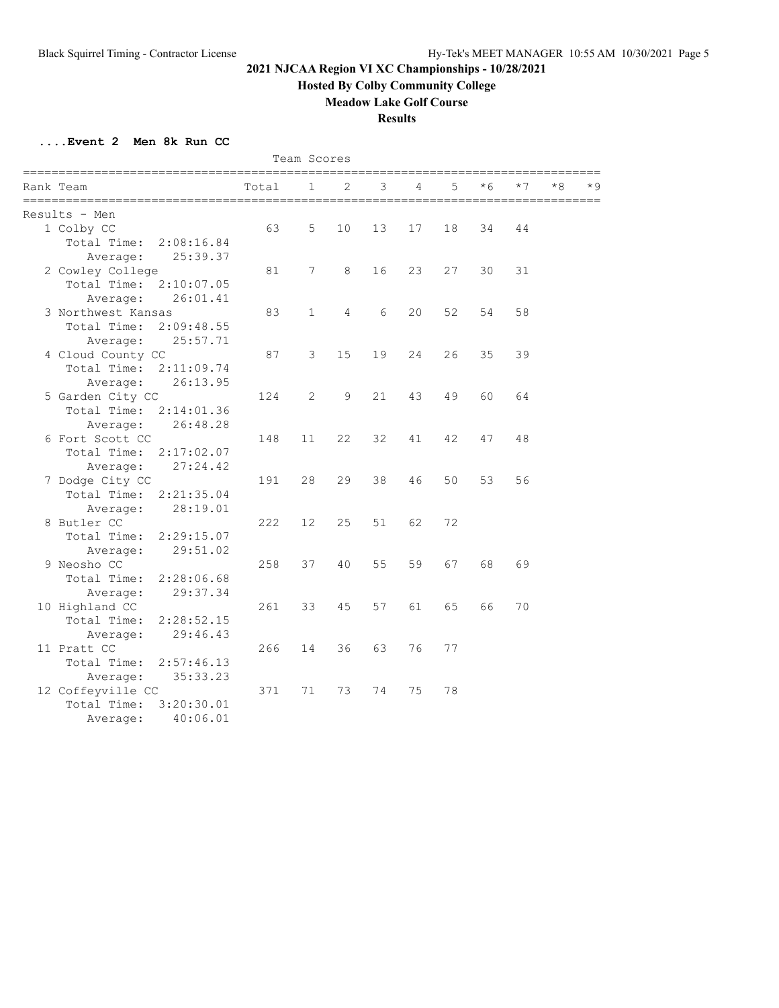**Hosted By Colby Community College**

**Meadow Lake Golf Course**

**Results**

|                                  |                       | Team Scores<br>=========== |                |                                 |    |    |     |      |     |     |
|----------------------------------|-----------------------|----------------------------|----------------|---------------------------------|----|----|-----|------|-----|-----|
| Rank Team<br>=================== | Total<br>============ | 1                          | 2              | 3<br>__________________________ | 4  | 5  | * 6 | $*7$ | * 8 | * 9 |
| Results - Men                    |                       |                            |                |                                 |    |    |     |      |     |     |
| 1 Colby CC                       | 63                    | 5                          | 10             | 13                              | 17 | 18 | 34  | 44   |     |     |
| Total Time:<br>2:08:16.84        |                       |                            |                |                                 |    |    |     |      |     |     |
| 25:39.37<br>Average:             |                       |                            |                |                                 |    |    |     |      |     |     |
| 2 Cowley College                 | 81                    | 7                          | 8              | 16                              | 23 | 27 | 30  | 31   |     |     |
| Total Time:<br>2:10:07.05        |                       |                            |                |                                 |    |    |     |      |     |     |
| 26:01.41<br>Average:             |                       |                            |                |                                 |    |    |     |      |     |     |
| 3 Northwest Kansas               | 83                    | $\mathbf{1}$               | $\overline{4}$ | 6                               | 20 | 52 | 54  | 58   |     |     |
| Total Time:<br>2:09:48.55        |                       |                            |                |                                 |    |    |     |      |     |     |
| 25:57.71<br>Average:             |                       |                            |                |                                 |    |    |     |      |     |     |
| 4 Cloud County CC                | 87                    | 3                          | 15             | 19                              | 24 | 26 | 35  | 39   |     |     |
| Total Time:<br>2:11:09.74        |                       |                            |                |                                 |    |    |     |      |     |     |
| 26:13.95<br>Average:             |                       |                            |                |                                 |    |    |     |      |     |     |
| 5 Garden City CC                 | 124                   | 2                          | $\overline{9}$ | 21                              | 43 | 49 | 60  | 64   |     |     |
| Total Time:<br>2:14:01.36        |                       |                            |                |                                 |    |    |     |      |     |     |
| 26:48.28<br>Average:             |                       |                            |                |                                 |    |    |     |      |     |     |
| 6 Fort Scott CC                  | 148                   | 11                         | 22             | 32                              | 41 | 42 | 47  | 48   |     |     |
| Total Time:<br>2:17:02.07        |                       |                            |                |                                 |    |    |     |      |     |     |
| 27:24.42<br>Average:             |                       |                            |                |                                 |    |    |     |      |     |     |
| 7 Dodge City CC                  | 191                   | 28                         | 29             | 38                              | 46 | 50 | 53  | 56   |     |     |
| Total Time:<br>2:21:35.04        |                       |                            |                |                                 |    |    |     |      |     |     |
| 28:19.01<br>Average:             |                       |                            |                |                                 |    |    |     |      |     |     |
| 8 Butler CC                      | 222                   | 12                         | 25             | 51                              | 62 | 72 |     |      |     |     |
| Total Time:<br>2:29:15.07        |                       |                            |                |                                 |    |    |     |      |     |     |
| 29:51.02<br>Average:             |                       |                            |                |                                 |    |    |     |      |     |     |
| 9 Neosho CC                      | 258                   | 37                         | 40             | 55                              | 59 | 67 | 68  | 69   |     |     |
| Total Time:<br>2:28:06.68        |                       |                            |                |                                 |    |    |     |      |     |     |
| 29:37.34<br>Average:             |                       |                            |                |                                 |    |    |     |      |     |     |
| 10 Highland CC                   | 261                   | 33                         | 45             | 57                              | 61 | 65 | 66  | 70   |     |     |
| Total Time:<br>2:28:52.15        |                       |                            |                |                                 |    |    |     |      |     |     |
| 29:46.43<br>Average:             |                       |                            |                |                                 |    |    |     |      |     |     |
| 11 Pratt CC                      | 266                   | 14                         | 36             | 63                              | 76 | 77 |     |      |     |     |
| Total Time:<br>2:57:46.13        |                       |                            |                |                                 |    |    |     |      |     |     |
| 35:33.23<br>Average:             |                       |                            |                |                                 |    |    |     |      |     |     |
| 12 Coffeyville CC                | 371                   | 71                         | 73             | 74                              | 75 | 78 |     |      |     |     |
| 3:20:30.01<br>Total Time:        |                       |                            |                |                                 |    |    |     |      |     |     |
| 40:06.01<br>Average:             |                       |                            |                |                                 |    |    |     |      |     |     |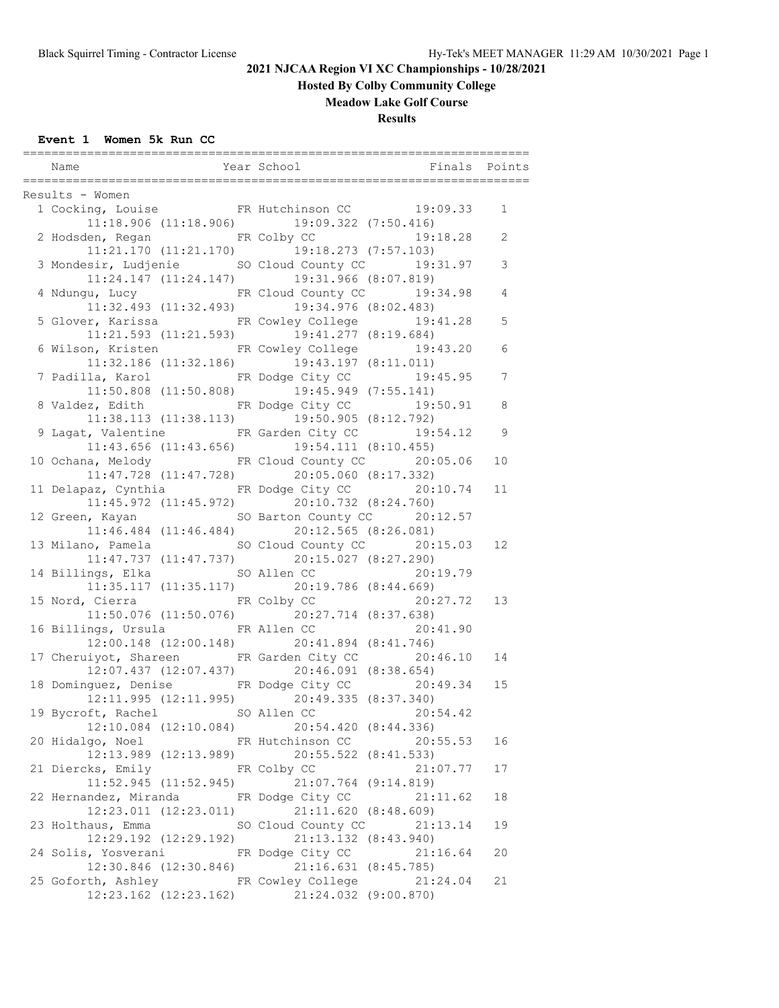**Hosted By Colby Community College**

### **Meadow Lake Golf Course**

**Results**

### **Event 1 Women 5k Run CC**

| Name                                            |                           |                                                    | Year School Tinals Points                                                      |                |
|-------------------------------------------------|---------------------------|----------------------------------------------------|--------------------------------------------------------------------------------|----------------|
|                                                 |                           |                                                    |                                                                                |                |
| Results - Women                                 |                           |                                                    | sults - women<br>1 Cocking, Louise           FR Hutchinson CC         19:09.33 |                |
|                                                 |                           | $11:18.906$ (11:18.906) 19:09.322 (7:50.416)       |                                                                                | 1              |
|                                                 |                           |                                                    |                                                                                |                |
|                                                 |                           |                                                    | 2 Hodsden, Regan FR Colby CC 19:18.28                                          | $\overline{2}$ |
|                                                 |                           | $11:21.170$ $(11:21.170)$ $19:18.273$ $(7:57.103)$ |                                                                                |                |
|                                                 |                           |                                                    | 3 Mondesir, Ludjenie SO Cloud County CC 19:31.97                               | 3              |
|                                                 |                           | 11:24.147 (11:24.147) 19:31.966 (8:07.819)         | 4 Ndungu, Lucy TR Cloud County CC 19:34.98                                     |                |
|                                                 |                           |                                                    |                                                                                | $\overline{4}$ |
|                                                 |                           | 11:32.493 (11:32.493) 19:34.976 (8:02.483)         |                                                                                |                |
|                                                 |                           |                                                    | 5 Glover, Karissa 6 FR Cowley College 19:41.28                                 | 5              |
|                                                 |                           | $11:21.593$ (11:21.593) $19:41.277$ (8:19.684)     |                                                                                |                |
|                                                 |                           |                                                    | 6 Wilson, Kristen FR Cowley College 19:43.20                                   | 6              |
|                                                 |                           | $11:32.186$ (11:32.186) $19:43.197$ (8:11.011)     |                                                                                |                |
|                                                 |                           |                                                    | 7 Padilla, Karol Martha FR Dodge City CC 19:45.95                              | 7              |
|                                                 |                           | $11:50.808$ (11:50.808) 19:45.949 (7:55.141)       |                                                                                |                |
|                                                 |                           |                                                    | 8 Valdez, Edith FR Dodge City CC 19:50.91                                      | 8              |
|                                                 |                           | $11:38.113$ $(11:38.113)$ $19:50.905$ $(8:12.792)$ |                                                                                |                |
|                                                 |                           |                                                    | 9 Lagat, Valentine FR Garden City CC 19:54.12                                  | 9              |
|                                                 |                           | $11:43.656$ (11:43.656) 19:54.111 (8:10.455)       |                                                                                |                |
|                                                 |                           |                                                    | 10 Ochana, Melody FR Cloud County CC 20:05.06                                  | 10             |
|                                                 |                           | 11:47.728 (11:47.728) 20:05.060 (8:17.332)         |                                                                                |                |
|                                                 |                           |                                                    | 11 Delapaz, Cynthia FR Dodge City CC 20:10.74                                  | 11             |
|                                                 |                           | 11:45.972 (11:45.972) 20:10.732 (8:24.760)         |                                                                                |                |
|                                                 |                           |                                                    | 12 Green, Kayan SO Barton County CC 20:12.57                                   |                |
|                                                 |                           | $11:46.484$ (11:46.484) 20:12.565 (8:26.081)       |                                                                                |                |
|                                                 |                           |                                                    | 13 Milano, Pamela SO Cloud County CC 20:15.03                                  | 12             |
|                                                 |                           | $11:47.737$ $(11:47.737)$ $20:15.027$ $(8:27.290)$ |                                                                                |                |
|                                                 |                           |                                                    | 14 Billings, Elka SO Allen CC 20:19.79                                         |                |
|                                                 |                           | $11:35.117$ (11:35.117) 20:19.786 (8:44.669)       |                                                                                |                |
| 15 Nord, Cierra               FR Colby CC       |                           |                                                    | 20:27.72                                                                       | 13             |
|                                                 |                           | 11:50.076 (11:50.076) 20:27.714 (8:37.638)         |                                                                                |                |
|                                                 |                           |                                                    | 16 Billings, Ursula FR Allen CC 20:41.90                                       |                |
|                                                 |                           | 12:00.148 (12:00.148) 20:41.894 (8:41.746)         |                                                                                |                |
|                                                 |                           |                                                    | 17 Cheruiyot, Shareen FR Garden City CC 20:46.10                               | 14             |
|                                                 |                           | $12:07.437$ $(12:07.437)$ $20:46.091$ $(8:38.654)$ |                                                                                |                |
|                                                 |                           |                                                    | 18 Dominguez, Denise FR Dodge City CC 20:49.34                                 | 15             |
|                                                 |                           | 12:11.995 (12:11.995) 20:49.335 (8:37.340)         |                                                                                |                |
| 19 Bycroft, Rachel SO Allen CC 20:54.42         |                           |                                                    |                                                                                |                |
|                                                 |                           | 12:10.084 (12:10.084) 20:54.420 (8:44.336)         |                                                                                |                |
| 20 Hidalgo, Noel FR Hutchinson CC               |                           |                                                    | 20:55.53                                                                       | 16             |
|                                                 |                           | $12:13.989$ (12:13.989) 20:55.522 (8:41.533)       |                                                                                |                |
| 21 Diercks, Emily FR Colby CC                   |                           |                                                    | 21:07.77                                                                       | 17             |
|                                                 | $11:52.945$ $(11:52.945)$ | 21:07.764 (9:14.819)                               |                                                                                |                |
| 22 Hernandez, Miranda FR Dodge City CC 21:11.62 |                           |                                                    |                                                                                | 18             |
|                                                 |                           | 12:23.011 (12:23.011) 21:11.620 (8:48.609)         |                                                                                |                |
| 23 Holthaus, Emma SO Cloud County CC            |                           |                                                    | 21:13.14                                                                       | 19             |
|                                                 | 12:29.192 (12:29.192)     | 21:13.132 (8:43.940)                               |                                                                                |                |
| 24 Solis, Yosverani                             |                           | FR Dodge City CC                                   | 21:16.64                                                                       | 20             |
|                                                 | $12:30.846$ $(12:30.846)$ | 21:16.631 (8:45.785)                               |                                                                                |                |
| 25 Goforth, Ashley Cowley College               |                           |                                                    | 21:24.04                                                                       | 21             |
|                                                 |                           | 12:23.162 (12:23.162) 21:24.032 (9:00.870)         |                                                                                |                |
|                                                 |                           |                                                    |                                                                                |                |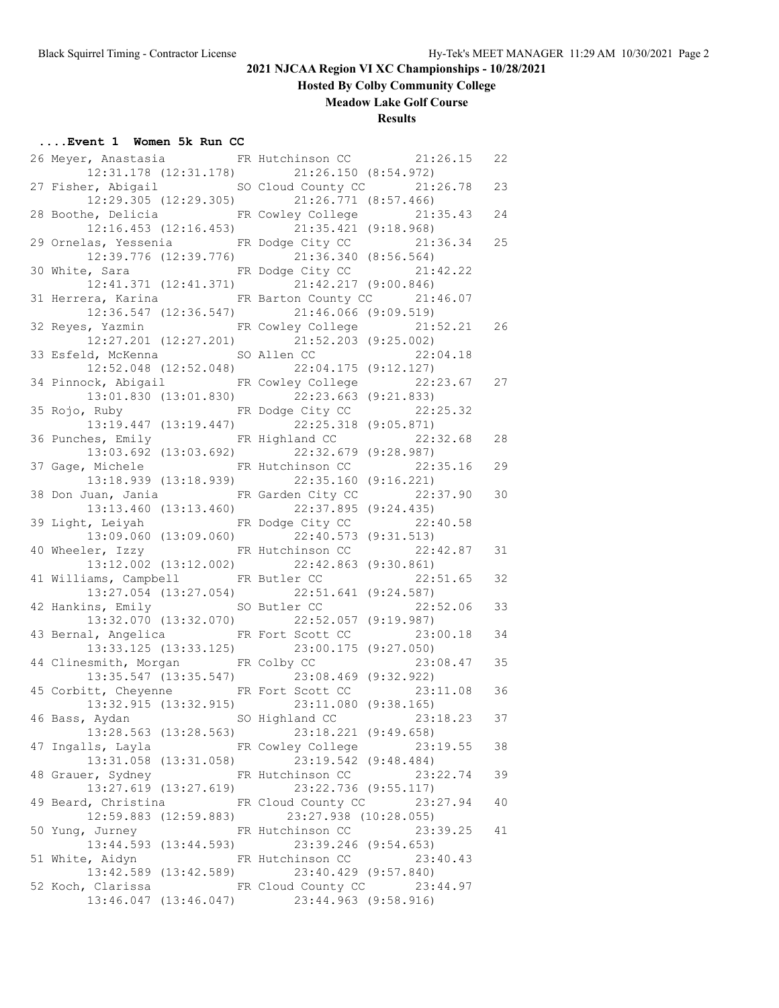**Hosted By Colby Community College**

**Meadow Lake Golf Course**

#### **Results**

#### **....Event 1 Women 5k Run CC**

|  | 26 Meyer, Anastasia 6 FR Hutchinson CC 21:26.15   |                                              |                             | 22 |
|--|---------------------------------------------------|----------------------------------------------|-----------------------------|----|
|  |                                                   | 12:31.178 (12:31.178) 21:26.150 (8:54.972)   |                             |    |
|  | 27 Fisher, Abigail SO Cloud County CC 21:26.78    |                                              |                             | 23 |
|  |                                                   | 12:29.305 (12:29.305) 21:26.771 (8:57.466)   |                             |    |
|  | 28 Boothe, Delicia FR Cowley College 21:35.43     |                                              |                             | 24 |
|  |                                                   | 12:16.453 (12:16.453) 21:35.421 (9:18.968)   |                             |    |
|  | 29 Ornelas, Yessenia FR Dodge City CC 21:36.34    |                                              |                             | 25 |
|  |                                                   | 12:39.776 (12:39.776) 21:36.340 (8:56.564)   |                             |    |
|  | 30 White, Sara                                    |                                              | FR Dodge City CC 21:42.22   |    |
|  | 12:41.371 (12:41.371)                             | 21:42.217 (9:00.846)                         |                             |    |
|  | 31 Herrera, Karina 6 FR Barton County CC 21:46.07 |                                              |                             |    |
|  |                                                   | 12:36.547 (12:36.547) 21:46.066 (9:09.519)   |                             |    |
|  | 32 Reyes, Yazmin FR Cowley College 21:52.21       |                                              |                             | 26 |
|  |                                                   | 12:27.201 (12:27.201) 21:52.203 (9:25.002)   |                             |    |
|  | 33 Esfeld, McKenna SO Allen CC 22:04.18           |                                              |                             |    |
|  |                                                   | 12:52.048 (12:52.048) 22:04.175 (9:12.127)   |                             |    |
|  | 34 Pinnock, Abigail FR Cowley College 22:23.67 27 |                                              |                             |    |
|  |                                                   | 13:01.830 (13:01.830) 22:23.663 (9:21.833)   |                             |    |
|  | 35 Rojo, Ruby FR Dodge City CC 22:25.32           |                                              |                             |    |
|  |                                                   | 13:19.447 (13:19.447) 22:25.318 (9:05.871)   |                             |    |
|  | 36 Punches, Emily FR Highland CC 22:32.68         |                                              |                             | 28 |
|  |                                                   | 13:03.692 (13:03.692) 22:32.679 (9:28.987)   |                             |    |
|  | 37 Gage, Michele 57 ER Hutchinson CC 32:35.16     |                                              |                             | 29 |
|  |                                                   | 13:18.939 (13:18.939) 22:35.160 (9:16.221)   |                             |    |
|  | 38 Don Juan, Jania 6. FR Garden City CC 22:37.90  |                                              |                             | 30 |
|  |                                                   | 13:13.460 (13:13.460) 22:37.895 (9:24.435)   |                             |    |
|  | 39 Light, Leiyah KR Dodge City CC 22:40.58        |                                              |                             |    |
|  |                                                   | 13:09.060 (13:09.060) 22:40.573 (9:31.513)   |                             |    |
|  | 40 Wheeler, Izzy FR Hutchinson CC 22:42.87        |                                              |                             | 31 |
|  |                                                   | $13:12.002$ (13:12.002) 22:42.863 (9:30.861) |                             |    |
|  | 41 Williams, Campbell FR Butler CC 22:51.65       |                                              |                             | 32 |
|  |                                                   | 13:27.054 (13:27.054) 22:51.641 (9:24.587)   |                             |    |
|  | 42 Hankins, Emily SO Butler CC                    |                                              | 22:52.06                    | 33 |
|  |                                                   | 13:32.070 (13:32.070) 22:52.057 (9:19.987)   |                             |    |
|  | 43 Bernal, Angelica FR Fort Scott CC 23:00.18     |                                              |                             | 34 |
|  | 13:33.125 (13:33.125)                             |                                              | 23:00.175 (9:27.050)        |    |
|  | 44 Clinesmith, Morgan FR Colby CC                 |                                              | 23:08.47                    | 35 |
|  |                                                   | 13:35.547 (13:35.547) 23:08.469 (9:32.922)   |                             |    |
|  | 45 Corbitt, Cheyenne FR Fort Scott CC 23:11.08    |                                              |                             | 36 |
|  |                                                   | 13:32.915 (13:32.915) 23:11.080 (9:38.165)   |                             |    |
|  | 46 Bass, Aydan                                    | SO Highland CC                               | 23:18.23                    | 37 |
|  | 13:28.563 (13:28.563)                             |                                              | 23:18.221 (9:49.658)        |    |
|  | 47 Ingalls, Layla TR Cowley College               |                                              | 23:19.55                    | 38 |
|  | $13:31.058$ $(13:31.058)$                         |                                              | 23:19.542 (9:48.484)        |    |
|  | 48 Grauer, Sydney                                 | FR Hutchinson CC                             | 23:22.74                    | 39 |
|  | $13:27.619$ $(13:27.619)$                         | 23:22.736 (9:55.117)                         |                             |    |
|  | 49 Beard, Christina                               |                                              | FR Cloud County CC 23:27.94 | 40 |
|  | 12:59.883 (12:59.883)                             | 23:27.938 (10:28.055)                        |                             |    |
|  | 50 Yung, Jurney                                   | FR Hutchinson CC                             | 23:39.25                    | 41 |
|  | 13:44.593 (13:44.593)                             |                                              | 23:39.246 (9:54.653)        |    |
|  | 51 White, Aidyn                                   | FR Hutchinson CC                             | 23:40.43                    |    |
|  | 13:42.589 (13:42.589)                             |                                              | 23:40.429 (9:57.840)        |    |
|  | 52 Koch, Clarissa                                 |                                              | FR Cloud County CC 23:44.97 |    |
|  |                                                   | 13:46.047 (13:46.047) 23:44.963 (9:58.916)   |                             |    |
|  |                                                   |                                              |                             |    |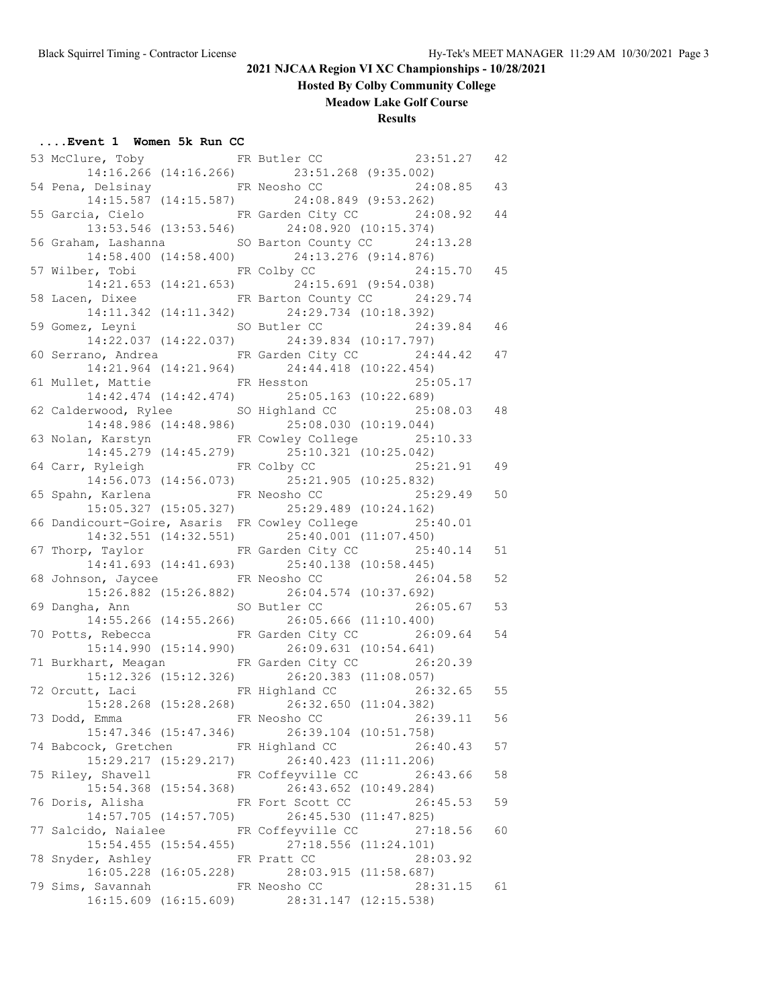**Hosted By Colby Community College**

**Meadow Lake Golf Course**

#### **Results**

#### **....Event 1 Women 5k Run CC**

|  | 53 McClure, Toby FR Butler CC           |                           |                                                     | 23:51.27                                                      | 42 |
|--|-----------------------------------------|---------------------------|-----------------------------------------------------|---------------------------------------------------------------|----|
|  |                                         |                           | 14:16.266 (14:16.266) 23:51.268 (9:35.002)          |                                                               |    |
|  |                                         |                           |                                                     | 54 Pena, Delsinay <b>ER</b> Neosho CC 24:08.85                | 43 |
|  |                                         |                           | $14:15.587$ (14:15.587) 24:08.849 (9:53.262)        |                                                               |    |
|  |                                         |                           |                                                     | 55 Garcia, Cielo <b>FR</b> Garden City CC 24:08.92            | 44 |
|  |                                         |                           | 13:53.546 (13:53.546) 24:08.920 (10:15.374)         |                                                               |    |
|  |                                         |                           |                                                     | 56 Graham, Lashanna 50 Barton County CC 24:13.28              |    |
|  |                                         |                           | 14:58.400 (14:58.400) 24:13.276 (9:14.876)          |                                                               |    |
|  | 57 Wilber, Tobi             FR Colby CC |                           |                                                     | 24:15.70                                                      | 45 |
|  |                                         |                           | 14:21.653 (14:21.653) 24:15.691 (9:54.038)          |                                                               |    |
|  |                                         |                           |                                                     | 58 Lacen, Dixee FR Barton County CC 24:29.74                  |    |
|  |                                         |                           | 14:11.342 (14:11.342) 24:29.734 (10:18.392)         |                                                               |    |
|  |                                         |                           |                                                     | 59 Gomez, Leyni SO Butler CC 24:39.84                         | 46 |
|  |                                         |                           | 14:22.037 (14:22.037) 24:39.834 (10:17.797)         |                                                               |    |
|  |                                         |                           |                                                     | 60 Serrano, Andrea 60 FR Garden City CC 24:44.42              | 47 |
|  |                                         |                           | $14:21.964 (14:21.964) 24:44.418 (10:22.454)$       |                                                               |    |
|  |                                         |                           |                                                     |                                                               |    |
|  |                                         |                           | 14:42.474 (14:42.474) 25:05.163 (10:22.689)         | 61 Mullet, Mattie <b>ER Hesston</b> 25:05.17                  |    |
|  |                                         |                           |                                                     |                                                               |    |
|  |                                         |                           |                                                     | 62 Calderwood, Rylee SO Highland CC 25:08.03                  | 48 |
|  |                                         |                           | 14:48.986 (14:48.986) 25:08.030 (10:19.044)         |                                                               |    |
|  |                                         |                           |                                                     | 63 Nolan, Karstyn FR Cowley College 25:10.33                  |    |
|  |                                         |                           | 14:45.279 (14:45.279) 25:10.321 (10:25.042)         |                                                               |    |
|  | 64 Carr, Ryleigh FR Colby CC            |                           |                                                     | 25:21.91                                                      | 49 |
|  |                                         |                           | 14:56.073 (14:56.073) 25:21.905 (10:25.832)         |                                                               |    |
|  |                                         |                           |                                                     | 65 Spahn, Karlena           FR Neosho CC             25:29.49 | 50 |
|  |                                         |                           | 15:05.327 (15:05.327) 25:29.489 (10:24.162)         |                                                               |    |
|  |                                         |                           |                                                     | 66 Dandicourt-Goire, Asaris FR Cowley College 25:40.01        |    |
|  |                                         |                           | $14:32.551$ $(14:32.551)$ $25:40.001$ $(11:07.450)$ |                                                               |    |
|  |                                         |                           |                                                     | 67 Thorp, Taylor FR Garden City CC 25:40.14                   | 51 |
|  |                                         |                           | 14:41.693 (14:41.693) 25:40.138 (10:58.445)         |                                                               |    |
|  |                                         |                           |                                                     | 68 Johnson, Jaycee FR Neosho CC 26:04.58                      | 52 |
|  |                                         |                           | 15:26.882 (15:26.882) 26:04.574 (10:37.692)         |                                                               |    |
|  |                                         |                           |                                                     | 69 Dangha, Ann SO Butler CC 26:05.67                          | 53 |
|  |                                         |                           | 14:55.266 (14:55.266) 26:05.666 (11:10.400)         |                                                               |    |
|  | 70 Potts, Rebecca FR Garden City CC     |                           |                                                     | 26:09.64                                                      | 54 |
|  |                                         |                           | 15:14.990 (15:14.990) 26:09.631 (10:54.641)         |                                                               |    |
|  |                                         |                           |                                                     | 71 Burkhart, Meagan FR Garden City CC 26:20.39                |    |
|  |                                         |                           | 15:12.326 (15:12.326) 26:20.383 (11:08.057)         |                                                               |    |
|  |                                         |                           |                                                     | 72 Orcutt, Laci RR Highland CC 26:32.65                       | 55 |
|  |                                         |                           | $15:28.268$ (15:28.268) $26:32.650$ (11:04.382)     |                                                               |    |
|  | 73 Dodd, Emma                           |                           |                                                     | FR Neosho CC 26:39.11                                         | 56 |
|  |                                         |                           | 15:47.346 (15:47.346) 26:39.104 (10:51.758)         |                                                               |    |
|  | 74 Babcock, Gretchen FR Highland CC     |                           |                                                     | 26:40.43                                                      | 57 |
|  |                                         | 15:29.217 (15:29.217)     | 26:40.423 (11:11.206)                               |                                                               |    |
|  |                                         |                           |                                                     |                                                               |    |
|  | 75 Riley, Shavell                       |                           |                                                     | FR Coffeyville CC 26:43.66                                    | 58 |
|  |                                         | 15:54.368 (15:54.368)     | 26:43.652 (10:49.284)                               |                                                               |    |
|  | 76 Doris, Alisha                        |                           | FR Fort Scott CC                                    | 26:45.53                                                      | 59 |
|  |                                         |                           | 14:57.705 (14:57.705) 26:45.530 (11:47.825)         |                                                               |    |
|  | 77 Salcido, Naialee                     |                           | FR Coffeyville CC                                   | 27:18.56                                                      | 60 |
|  |                                         | $15:54.455$ $(15:54.455)$ | 27:18.556 (11:24.101)                               |                                                               |    |
|  | 78 Snyder, Ashley                       |                           | FR Pratt CC                                         | 28:03.92                                                      |    |
|  |                                         | 16:05.228 (16:05.228)     | 28:03.915 (11:58.687)                               |                                                               |    |
|  | 79 Sims, Savannah                       |                           | FR Neosho CC                                        | 28:31.15                                                      | 61 |
|  |                                         |                           | 16:15.609 (16:15.609) 28:31.147 (12:15.538)         |                                                               |    |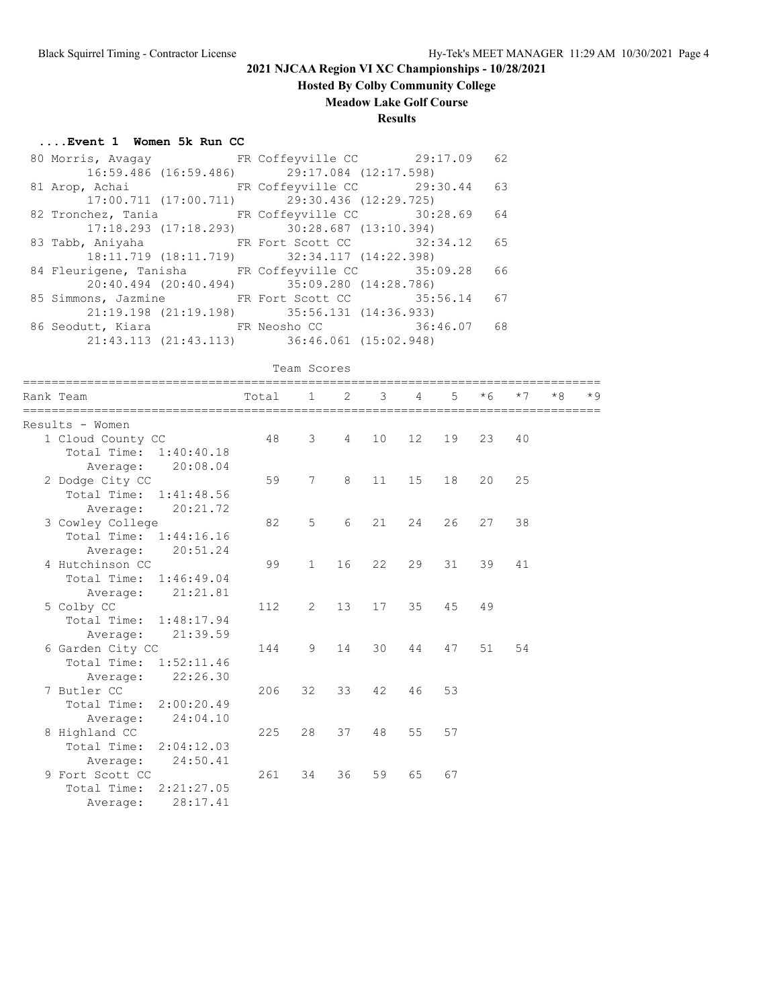# **Hosted By Colby Community College**

### **Meadow Lake Golf Course**

#### **Results**

#### **....Event 1 Women 5k Run CC**

|  | 80 Morris, Avagay 62 FR Coffeyville CC 29:17.09 62                     |  |
|--|------------------------------------------------------------------------|--|
|  | 16:59.486 (16:59.486) 29:17.084 (12:17.598)                            |  |
|  | 81 Arop, Achai Manuel ER Coffeyville CC 29:30.44 63                    |  |
|  | 17:00.711 (17:00.711) 29:30.436 (12:29.725)                            |  |
|  | 82 Tronchez, Tania Mark FR Coffeyville CC 30:28.69 64                  |  |
|  | $17:18.293$ (17:18.293) 30:28.687 (13:10.394)                          |  |
|  | 83 Tabb, Aniyaha KR Fort Scott CC 32:34.12 65                          |  |
|  | 18:11.719 (18:11.719) 32:34.117 (14:22.398)                            |  |
|  | 84 Fleurigene, Tanisha FR Coffeyville CC 35:09.28 66                   |  |
|  | 20:40.494 (20:40.494) 35:09.280 (14:28.786)                            |  |
|  | 85 Simmons, Jazmine FR Fort Scott CC 35:56.14 67                       |  |
|  | 21:19.198 (21:19.198) 35:56.131 (14:36.933)                            |  |
|  | 86 Seodutt, Kiara           FR Neosho CC               36:46.07     68 |  |
|  | 21:43.113 (21:43.113) 36:46.061 (15:02.948)                            |  |

### Team Scores

|  | ==================<br>Rank Team | Total | $\mathbf{1}$ | ============<br>$\mathcal{L}$ | 3  | 4               | 5  | $*6$ | $*7$ | $*8$ | $*9$ |
|--|---------------------------------|-------|--------------|-------------------------------|----|-----------------|----|------|------|------|------|
|  | Results - Women                 |       |              |                               |    |                 |    |      |      |      |      |
|  | 1 Cloud County CC               | 48    | 3            | $\overline{4}$                | 10 | 12 <sup>°</sup> | 19 | 23   | 40   |      |      |
|  | Total Time: 1:40:40.18          |       |              |                               |    |                 |    |      |      |      |      |
|  | 20:08.04<br>Average:            |       |              |                               |    |                 |    |      |      |      |      |
|  | 2 Dodge City CC                 | 59    | 7            | 8                             | 11 | 15              | 18 | 20   | 25   |      |      |
|  | Total Time: 1:41:48.56          |       |              |                               |    |                 |    |      |      |      |      |
|  | 20:21.72<br>Average:            |       |              |                               |    |                 |    |      |      |      |      |
|  | 3 Cowley College                | 82    | 5            | 6                             | 21 | 24              | 26 | 27   | 38   |      |      |
|  | Total Time: 1:44:16.16          |       |              |                               |    |                 |    |      |      |      |      |
|  | 20:51.24<br>Average:            |       |              |                               |    |                 |    |      |      |      |      |
|  | 4 Hutchinson CC                 | 99    | $\mathbf{1}$ | 16                            | 22 | 29              | 31 | 39   | 41   |      |      |
|  | Total Time: 1:46:49.04          |       |              |                               |    |                 |    |      |      |      |      |
|  | 21:21.81<br>Average:            |       |              |                               |    |                 |    |      |      |      |      |
|  | 5 Colby CC                      | 112   | 2            | 13                            | 17 | 35              | 45 | 49   |      |      |      |
|  | Total Time: 1:48:17.94          |       |              |                               |    |                 |    |      |      |      |      |
|  | 21:39.59<br>Average:            |       |              |                               |    |                 |    |      |      |      |      |
|  | 6 Garden City CC                | 144   | 9            | 14                            | 30 | 44              | 47 | 51   | 54   |      |      |
|  | Total Time:<br>1:52:11.46       |       |              |                               |    |                 |    |      |      |      |      |
|  | 22:26.30<br>Average:            |       |              |                               |    |                 |    |      |      |      |      |
|  | 7 Butler CC                     | 206   | 32           | 33                            | 42 | 46              | 53 |      |      |      |      |
|  | Total Time: 2:00:20.49          |       |              |                               |    |                 |    |      |      |      |      |
|  | 24:04.10<br>Average:            |       |              |                               |    |                 |    |      |      |      |      |
|  | 8 Highland CC                   | 225   | 28           | 37                            | 48 | 55              | 57 |      |      |      |      |
|  | Total Time: 2:04:12.03          |       |              |                               |    |                 |    |      |      |      |      |
|  | 24:50.41<br>Average:            |       |              |                               |    |                 |    |      |      |      |      |
|  | 9 Fort Scott CC                 | 261   | 34           | 36                            | 59 | 65              | 67 |      |      |      |      |
|  | Total Time: 2:21:27.05          |       |              |                               |    |                 |    |      |      |      |      |
|  | 28:17.41<br>Average:            |       |              |                               |    |                 |    |      |      |      |      |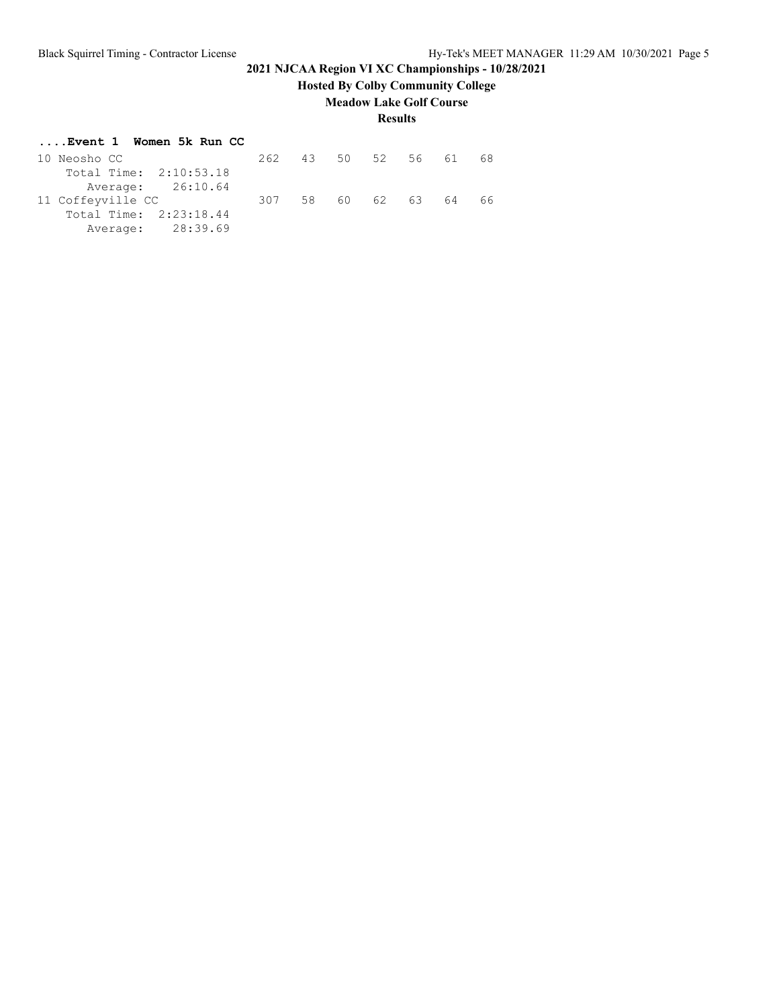# **Hosted By Colby Community College**

### **Meadow Lake Golf Course**

### **Results**

#### **....Event 1 Women 5k Run CC**

| 10 Neosho CC           | 262 |  | 43 50 52 56 | 61 |    |
|------------------------|-----|--|-------------|----|----|
| Total Time: 2:10:53.18 |     |  |             |    |    |
| Average: 26:10.64      |     |  |             |    |    |
| 11 Coffeyville CC      | 307 |  | 58 60 62 63 | 64 | 66 |
| Total Time: 2:23:18.44 |     |  |             |    |    |
| Average: 28:39.69      |     |  |             |    |    |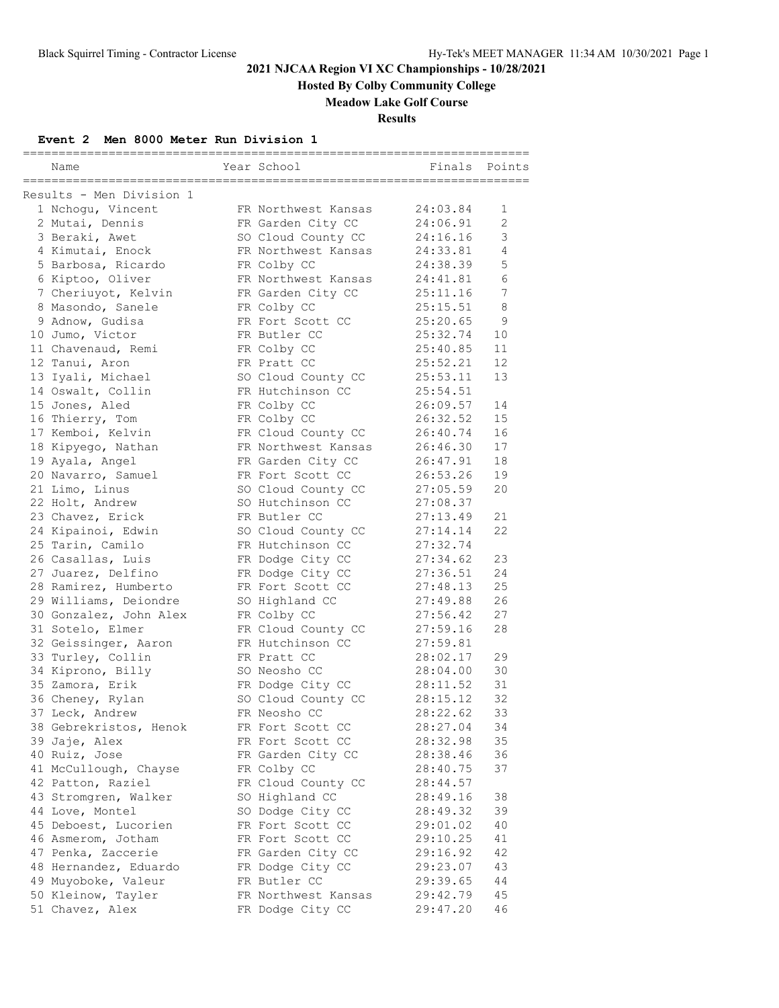**Hosted By Colby Community College**

### **Meadow Lake Golf Course**

**Results**

### **Event 2 Men 8000 Meter Run Division 1**

|                          |                     | --------------------------- |                |
|--------------------------|---------------------|-----------------------------|----------------|
| Name                     | Year School         | Finals                      | Points         |
| Results - Men Division 1 |                     |                             |                |
| 1 Nchogu, Vincent        | FR Northwest Kansas | 24:03.84                    | 1              |
| 2 Mutai, Dennis          | FR Garden City CC   | 24:06.91                    | $\overline{2}$ |
| 3 Beraki, Awet           | SO Cloud County CC  | 24:16.16                    | 3              |
| 4 Kimutai, Enock         | FR Northwest Kansas | 24:33.81                    | 4              |
| 5 Barbosa, Ricardo       | FR Colby CC         | 24:38.39                    | 5              |
| 6 Kiptoo, Oliver         | FR Northwest Kansas | 24:41.81                    | 6              |
| 7 Cheriuyot, Kelvin      | FR Garden City CC   | 25:11.16                    | $\sqrt{ }$     |
| 8 Masondo, Sanele        | FR Colby CC         | 25:15.51                    | 8              |
| 9 Adnow, Gudisa          | FR Fort Scott CC    | 25:20.65                    | 9              |
| 10 Jumo, Victor          | FR Butler CC        | 25:32.74                    | 10             |
| 11 Chavenaud, Remi       | FR Colby CC         | 25:40.85                    | 11             |
|                          | FR Pratt CC         |                             | 12             |
| 12 Tanui, Aron           |                     | 25:52.21                    | 13             |
| 13 Iyali, Michael        | SO Cloud County CC  | 25:53.11                    |                |
| 14 Oswalt, Collin        | FR Hutchinson CC    | 25:54.51                    |                |
| 15 Jones, Aled           | FR Colby CC         | 26:09.57                    | 14             |
| 16 Thierry, Tom          | FR Colby CC         | 26:32.52                    | 15             |
| 17 Kemboi, Kelvin        | FR Cloud County CC  | 26:40.74                    | 16             |
| 18 Kipyego, Nathan       | FR Northwest Kansas | 26:46.30                    | 17             |
| 19 Ayala, Angel          | FR Garden City CC   | 26:47.91                    | 18             |
| 20 Navarro, Samuel       | FR Fort Scott CC    | 26:53.26                    | 19             |
| 21 Limo, Linus           | SO Cloud County CC  | 27:05.59                    | 20             |
| 22 Holt, Andrew          | SO Hutchinson CC    | 27:08.37                    |                |
| 23 Chavez, Erick         | FR Butler CC        | 27:13.49                    | 21             |
| 24 Kipainoi, Edwin       | SO Cloud County CC  | 27:14.14                    | 22             |
| 25 Tarin, Camilo         | FR Hutchinson CC    | 27:32.74                    |                |
| 26 Casallas, Luis        | FR Dodge City CC    | 27:34.62                    | 23             |
| 27 Juarez, Delfino       | FR Dodge City CC    | 27:36.51                    | 24             |
| 28 Ramirez, Humberto     | FR Fort Scott CC    | 27:48.13                    | 25             |
| 29 Williams, Deiondre    | SO Highland CC      | 27:49.88                    | 26             |
| 30 Gonzalez, John Alex   | FR Colby CC         | 27:56.42                    | 27             |
| 31 Sotelo, Elmer         | FR Cloud County CC  | 27:59.16                    | 28             |
| 32 Geissinger, Aaron     | FR Hutchinson CC    | 27:59.81                    |                |
| 33 Turley, Collin        | FR Pratt CC         | 28:02.17                    | 29             |
| 34 Kiprono, Billy        | SO Neosho CC        | 28:04.00                    | 30             |
| 35 Zamora, Erik          | FR Dodge City CC    | 28:11.52                    | 31             |
| 36 Cheney, Rylan         | SO Cloud County CC  | 28:15.12                    | 32             |
| 37 Leck, Andrew          | FR Neosho CC        | 28:22.62                    | 33             |
| 38 Gebrekristos, Henok   | FR Fort Scott CC    | 28:27.04                    | 34             |
| 39 Jaje, Alex            | FR Fort Scott CC    | 28:32.98                    | 35             |
| 40 Ruiz, Jose            | FR Garden City CC   | 28:38.46                    | 36             |
| 41 McCullough, Chayse    | FR Colby CC         | 28:40.75                    | 37             |
| 42 Patton, Raziel        | FR Cloud County CC  | 28:44.57                    |                |
| 43 Stromgren, Walker     | SO Highland CC      | 28:49.16                    | 38             |
| 44 Love, Montel          | SO Dodge City CC    | 28:49.32                    | 39             |
| 45 Deboest, Lucorien     | FR Fort Scott CC    | 29:01.02                    | 40             |
| 46 Asmerom, Jotham       | FR Fort Scott CC    | 29:10.25                    | 41             |
| 47 Penka, Zaccerie       | FR Garden City CC   | 29:16.92                    | 42             |
| 48 Hernandez, Eduardo    | FR Dodge City CC    | 29:23.07                    | 43             |
| 49 Muyoboke, Valeur      | FR Butler CC        | 29:39.65                    | 44             |
| 50 Kleinow, Tayler       | FR Northwest Kansas | 29:42.79                    | 45             |
| 51 Chavez, Alex          | FR Dodge City CC    | 29:47.20                    | 46             |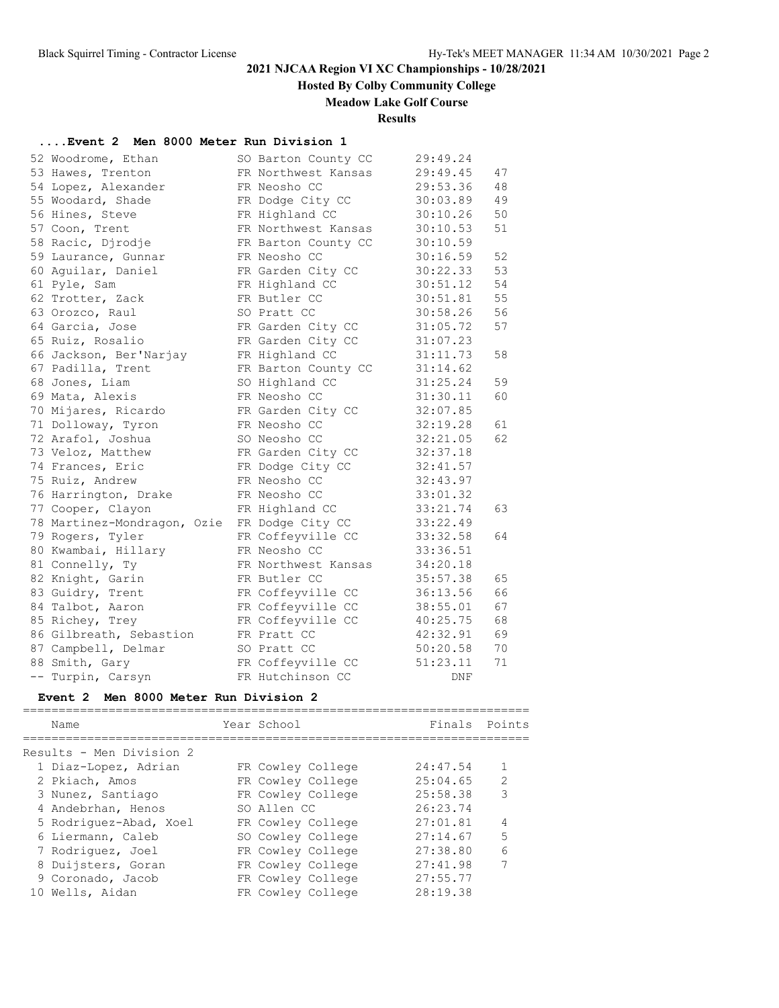## **Hosted By Colby Community College**

### **Meadow Lake Golf Course**

#### **Results**

#### **....Event 2 Men 8000 Meter Run Division 1**

| 52 Woodrome, Ethan          | SO Barton County CC | 29:49.24 |    |
|-----------------------------|---------------------|----------|----|
| 53 Hawes, Trenton           | FR Northwest Kansas | 29:49.45 | 47 |
| 54 Lopez, Alexander         | FR Neosho CC        | 29:53.36 | 48 |
| 55 Woodard, Shade           | FR Dodge City CC    | 30:03.89 | 49 |
| 56 Hines, Steve             | FR Highland CC      | 30:10.26 | 50 |
| 57 Coon, Trent              | FR Northwest Kansas | 30:10.53 | 51 |
| 58 Racic, Djrodje           | FR Barton County CC | 30:10.59 |    |
| 59 Laurance, Gunnar         | FR Neosho CC        | 30:16.59 | 52 |
| 60 Aguilar, Daniel          | FR Garden City CC   | 30:22.33 | 53 |
| 61 Pyle, Sam                | FR Highland CC      | 30:51.12 | 54 |
| 62 Trotter, Zack            | FR Butler CC        | 30:51.81 | 55 |
| 63 Orozco, Raul             | SO Pratt CC         | 30:58.26 | 56 |
| 64 Garcia, Jose             | FR Garden City CC   | 31:05.72 | 57 |
| 65 Ruiz, Rosalio            | FR Garden City CC   | 31:07.23 |    |
| 66 Jackson, Ber'Narjay      | FR Highland CC      | 31:11.73 | 58 |
| 67 Padilla, Trent           | FR Barton County CC | 31:14.62 |    |
| 68 Jones, Liam              | SO Highland CC      | 31:25.24 | 59 |
| 69 Mata, Alexis             | FR Neosho CC        | 31:30.11 | 60 |
| 70 Mijares, Ricardo         | FR Garden City CC   | 32:07.85 |    |
| 71 Dolloway, Tyron          | FR Neosho CC        | 32:19.28 | 61 |
| 72 Arafol, Joshua           | SO Neosho CC        | 32:21.05 | 62 |
| 73 Veloz, Matthew           | FR Garden City CC   | 32:37.18 |    |
| 74 Frances, Eric            | FR Dodge City CC    | 32:41.57 |    |
| 75 Ruiz, Andrew             | FR Neosho CC        | 32:43.97 |    |
| 76 Harrington, Drake        | FR Neosho CC        | 33:01.32 |    |
| 77 Cooper, Clayon           | FR Highland CC      | 33:21.74 | 63 |
| 78 Martinez-Mondragon, Ozie | FR Dodge City CC    | 33:22.49 |    |
| 79 Rogers, Tyler            | FR Coffeyville CC   | 33:32.58 | 64 |
| 80 Kwambai, Hillary         | FR Neosho CC        | 33:36.51 |    |
| 81 Connelly, Ty             | FR Northwest Kansas | 34:20.18 |    |
| 82 Knight, Garin            | FR Butler CC        | 35:57.38 | 65 |
| 83 Guidry, Trent            | FR Coffeyville CC   | 36:13.56 | 66 |
| 84 Talbot, Aaron            | FR Coffeyville CC   | 38:55.01 | 67 |
| 85 Richey, Trey             | FR Coffeyville CC   | 40:25.75 | 68 |
| 86 Gilbreath, Sebastion     | FR Pratt CC         | 42:32.91 | 69 |
| 87 Campbell, Delmar         | SO Pratt CC         | 50:20.58 | 70 |
| 88 Smith, Gary              | FR Coffeyville CC   | 51:23.11 | 71 |
| -- Turpin, Carsyn           | FR Hutchinson CC    | DNF      |    |

#### **Event 2 Men 8000 Meter Run Division 2**

======================================================================= Finals Points

| NQHIG                    | $TCAL$ $UULUUL$   | $\Gamma$ $\pm$ $\Gamma$ $\Omega$ $\pm$ $\Omega$ | $\Gamma$ $\Omega$ $\pm$ $\Gamma$ $\Gamma$ $\Omega$ |
|--------------------------|-------------------|-------------------------------------------------|----------------------------------------------------|
| Results - Men Division 2 |                   |                                                 |                                                    |
| 1 Diaz-Lopez, Adrian     | FR Cowley College | 24:47.54                                        |                                                    |
| 2 Pkiach, Amos           | FR Cowley College | 25:04.65                                        | $\mathcal{L}$                                      |
| 3 Nunez, Santiago        | FR Cowley College | 25:58.38                                        | 3                                                  |
| 4 Andebrhan, Henos       | SO Allen CC       | 26:23.74                                        |                                                    |
| 5 Rodriquez-Abad, Xoel   | FR Cowley College | 27:01.81                                        | 4                                                  |
| 6 Liermann, Caleb        | SO Cowley College | 27:14.67                                        | 5                                                  |
| 7 Rodriquez, Joel        | FR Cowley College | 27:38.80                                        | 6                                                  |
| 8 Duijsters, Goran       | FR Cowley College | 27:41.98                                        |                                                    |
| 9 Coronado, Jacob        | FR Cowley College | 27:55.77                                        |                                                    |
| 10 Wells, Aidan          | FR Cowley College | 28:19.38                                        |                                                    |
|                          |                   |                                                 |                                                    |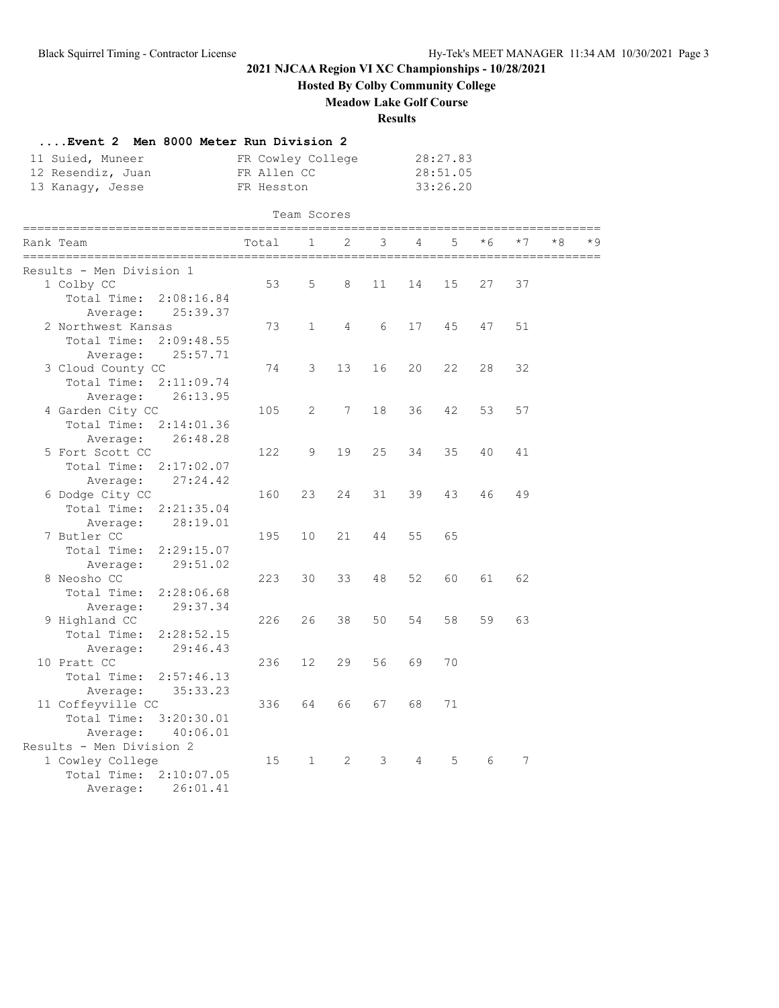**Hosted By Colby Community College**

**Meadow Lake Golf Course**

#### **Results**

| Event 2 Men 8000 Meter Run Division 2<br>11 Suied, Muneer<br>12 Resendiz, Juan<br>13 Kanaqy, Jesse | FR Cowley College<br>FR Allen CC<br>FR Hesston |                   |                                  |    |    | 28:27.83<br>28:51.05<br>33:26.20 |      |      |      |     |
|----------------------------------------------------------------------------------------------------|------------------------------------------------|-------------------|----------------------------------|----|----|----------------------------------|------|------|------|-----|
|                                                                                                    |                                                | Team Scores       |                                  |    |    |                                  |      |      |      |     |
| ==============<br>================<br>Rank Team                                                    | Total                                          | 1                 | ___________________________<br>2 | 3  | 4  | 5                                | $*6$ | $*7$ | $*8$ | * 9 |
| Results - Men Division 1                                                                           |                                                |                   |                                  |    |    |                                  |      |      |      |     |
| 1 Colby CC                                                                                         | 53                                             | 5                 | 8                                | 11 | 14 | 15                               | 27   | 37   |      |     |
| Total Time: 2:08:16.84                                                                             |                                                |                   |                                  |    |    |                                  |      |      |      |     |
| Average:<br>25:39.37                                                                               |                                                |                   |                                  |    |    |                                  |      |      |      |     |
| 2 Northwest Kansas                                                                                 | 73                                             | $\mathbf{1}$      | 4                                | 6  | 17 | 45                               | 47   | 51   |      |     |
| Total Time:<br>2:09:48.55                                                                          |                                                |                   |                                  |    |    |                                  |      |      |      |     |
| Average: 25:57.71                                                                                  |                                                |                   |                                  |    |    |                                  |      |      |      |     |
| 3 Cloud County CC                                                                                  | 74                                             | 3                 | 13                               | 16 | 20 | 22                               | 28   | 32   |      |     |
| Total Time: 2:11:09.74                                                                             |                                                |                   |                                  |    |    |                                  |      |      |      |     |
| 26:13.95<br>Average:                                                                               |                                                |                   |                                  |    |    |                                  |      |      |      |     |
| 4 Garden City CC                                                                                   | 105                                            | 2                 | 7                                | 18 | 36 | 42                               | 53   | 57   |      |     |
| Total Time: 2:14:01.36                                                                             |                                                |                   |                                  |    |    |                                  |      |      |      |     |
| 26:48.28<br>Average:                                                                               |                                                |                   |                                  |    |    |                                  |      |      |      |     |
| 5 Fort Scott CC                                                                                    | 122                                            | 9                 | 19                               | 25 | 34 | 35                               | 40   | 41   |      |     |
| Total Time:<br>2:17:02.07                                                                          |                                                |                   |                                  |    |    |                                  |      |      |      |     |
| 27:24.42<br>Average:                                                                               |                                                |                   |                                  |    |    |                                  |      |      |      |     |
| 6 Dodge City CC                                                                                    | 160                                            | 23                | 24                               | 31 | 39 | 43                               | 46   | 49   |      |     |
| Total Time:<br>2:21:35.04                                                                          |                                                |                   |                                  |    |    |                                  |      |      |      |     |
| Average:<br>28:19.01                                                                               |                                                |                   |                                  |    |    |                                  |      |      |      |     |
| 7 Butler CC                                                                                        | 195                                            | 10                | 21                               | 44 | 55 | 65                               |      |      |      |     |
| Total Time:<br>2:29:15.07                                                                          |                                                |                   |                                  |    |    |                                  |      |      |      |     |
| 29:51.02<br>Average:                                                                               |                                                |                   |                                  |    |    |                                  |      |      |      |     |
| 8 Neosho CC                                                                                        | 223                                            | 30                | 33                               | 48 | 52 | 60                               | 61   | 62   |      |     |
| Total Time:<br>2:28:06.68                                                                          |                                                |                   |                                  |    |    |                                  |      |      |      |     |
| 29:37.34<br>Average:                                                                               |                                                |                   |                                  |    |    |                                  |      |      |      |     |
| 9 Highland CC                                                                                      | 226                                            | 26                | 38                               | 50 | 54 | 58                               | 59   | 63   |      |     |
| Total Time:<br>2:28:52.15                                                                          |                                                |                   |                                  |    |    |                                  |      |      |      |     |
| 29:46.43<br>Average:                                                                               |                                                |                   |                                  |    |    |                                  |      |      |      |     |
| 10 Pratt CC                                                                                        | 236                                            | $12 \overline{ }$ | 29                               | 56 | 69 | 70                               |      |      |      |     |
| Total Time:<br>2:57:46.13                                                                          |                                                |                   |                                  |    |    |                                  |      |      |      |     |
| Average:<br>35:33.23                                                                               |                                                |                   |                                  |    |    |                                  |      |      |      |     |
|                                                                                                    | 336                                            | 64                | 66                               | 67 | 68 | 71                               |      |      |      |     |
| 11 Coffeyville CC<br>Total Time:<br>3:20:30.01                                                     |                                                |                   |                                  |    |    |                                  |      |      |      |     |
| 40:06.01                                                                                           |                                                |                   |                                  |    |    |                                  |      |      |      |     |
| Average:<br>Results - Men Division 2                                                               |                                                |                   |                                  |    |    |                                  |      |      |      |     |
| 1 Cowley College                                                                                   | 15                                             | $\mathbf{1}$      | 2                                | 3  | 4  | 5                                | 6    | 7    |      |     |
| Total Time: 2:10:07.05                                                                             |                                                |                   |                                  |    |    |                                  |      |      |      |     |
| 26:01.41                                                                                           |                                                |                   |                                  |    |    |                                  |      |      |      |     |
| Average:                                                                                           |                                                |                   |                                  |    |    |                                  |      |      |      |     |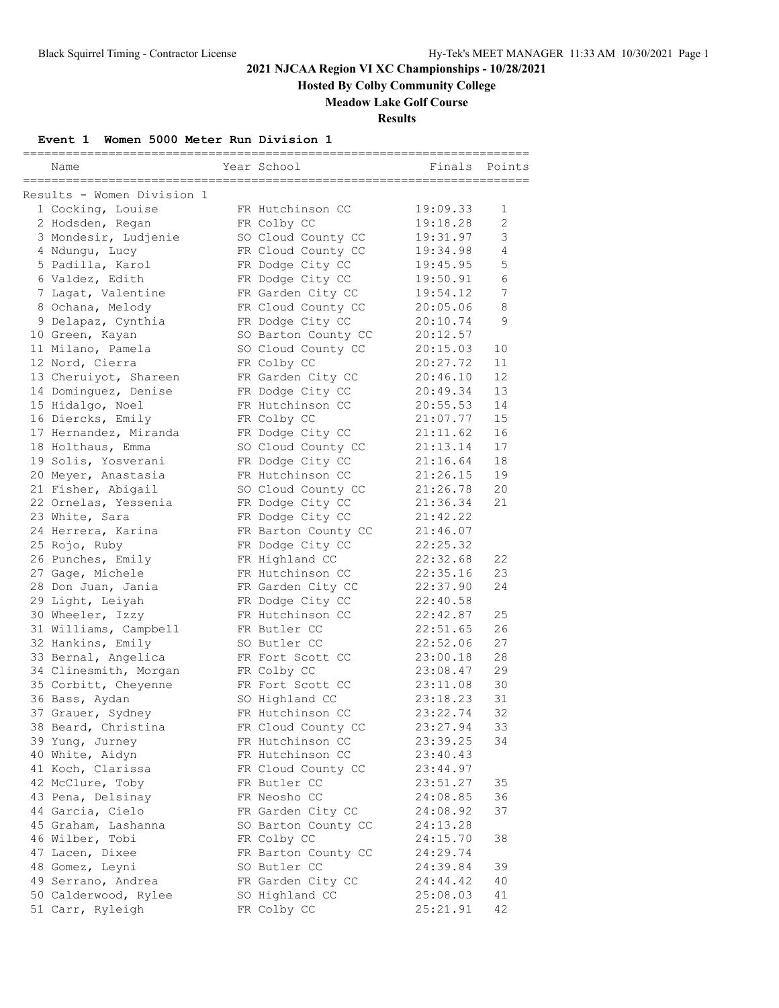**Hosted By Colby Community College**

### **Meadow Lake Golf Course**

**Results**

### **Event 1 Women 5000 Meter Run Division 1**

| Name                                                             | Year School                         | ========<br>Finals   | Points           |
|------------------------------------------------------------------|-------------------------------------|----------------------|------------------|
| ==================================<br>Results - Women Division 1 |                                     |                      |                  |
| 1 Cocking, Louise                                                | FR Hutchinson CC                    | 19:09.33             | 1                |
| 2 Hodsden, Regan                                                 | FR Colby CC                         | 19:18.28             | 2                |
| 3 Mondesir, Ludjenie                                             | SO Cloud County CC                  | 19:31.97             | 3                |
| 4 Ndungu, Lucy                                                   | FR Cloud County CC                  | 19:34.98             | 4                |
| 5 Padilla, Karol                                                 | FR Dodge City CC                    | 19:45.95             | 5                |
| 6 Valdez, Edith                                                  | FR Dodge City CC                    | 19:50.91             | 6                |
| 7 Lagat, Valentine                                               | FR Garden City CC                   | 19:54.12             | $\boldsymbol{7}$ |
| 8 Ochana, Melody                                                 | FR Cloud County CC                  | 20:05.06             | 8                |
| 9 Delapaz, Cynthia                                               | FR Dodge City CC                    | 20:10.74             | 9                |
| 10 Green, Kayan                                                  | SO Barton County CC                 | 20:12.57             |                  |
| 11 Milano, Pamela                                                | SO Cloud County CC                  | 20:15.03             | 10               |
| 12 Nord, Cierra                                                  | FR Colby CC                         | 20:27.72             | 11               |
| 13 Cheruiyot, Shareen                                            | FR Garden City CC                   | 20:46.10             | 12               |
| 14 Dominquez, Denise                                             | FR Dodge City CC                    | 20:49.34             | 13               |
| 15 Hidalgo, Noel                                                 | FR Hutchinson CC                    | 20:55.53             | 14               |
| 16 Diercks, Emily                                                | FR Colby CC                         | 21:07.77             | 15               |
| 17 Hernandez, Miranda                                            | FR Dodge City CC                    | 21:11.62             | 16               |
| 18 Holthaus, Emma                                                | SO Cloud County CC                  | 21:13.14             | 17               |
| 19 Solis, Yosverani                                              | FR Dodge City CC                    | 21:16.64             | 18               |
| 20 Meyer, Anastasia                                              | FR Hutchinson CC                    | 21:26.15             | 19               |
| 21 Fisher, Abigail                                               | SO Cloud County CC                  | 21:26.78             | 20               |
| 22 Ornelas, Yessenia                                             | FR Dodge City CC                    | 21:36.34             | 21               |
| 23 White, Sara                                                   | FR Dodge City CC                    | 21:42.22             |                  |
| 24 Herrera, Karina                                               | FR Barton County CC                 | 21:46.07             |                  |
| 25 Rojo, Ruby                                                    | FR Dodge City CC                    | 22:25.32             |                  |
| 26 Punches, Emily                                                | FR Highland CC                      | 22:32.68             | 22               |
| 27 Gage, Michele                                                 | FR Hutchinson CC                    | 22:35.16             | 23               |
| 28 Don Juan, Jania                                               | FR Garden City CC                   | 22:37.90             | 2.4              |
| 29 Light, Leiyah                                                 | FR Dodge City CC                    | 22:40.58             |                  |
| 30 Wheeler, Izzy                                                 | FR Hutchinson CC                    | 22:42.87             | 25               |
| 31 Williams, Campbell                                            | FR Butler CC                        | 22:51.65             | 26               |
| 32 Hankins, Emily                                                | SO Butler CC                        | 22:52.06             | 27               |
| 33 Bernal, Angelica                                              | FR Fort Scott CC                    | 23:00.18             | 28               |
| 34 Clinesmith, Morgan                                            | FR Colby CC                         | 23:08.47             | 29               |
| 35 Corbitt, Cheyenne                                             | FR Fort Scott CC                    | 23:11.08             | 30               |
| 36 Bass, Aydan                                                   | SO Highland CC                      | 23:18.23             | 31               |
| 37 Grauer, Sydney                                                | FR Hutchinson CC                    | 23:22.74             | 32               |
| 38 Beard, Christina                                              | FR Cloud County CC                  | 23:27.94             | 33               |
| 39 Yung, Jurney                                                  | FR Hutchinson CC                    | 23:39.25             | 34               |
| 40 White, Aidyn                                                  | FR Hutchinson CC                    | 23:40.43             |                  |
| 41 Koch, Clarissa                                                | FR Cloud County CC                  | 23:44.97             |                  |
| 42 McClure, Toby                                                 | FR Butler CC                        | 23:51.27             | 35               |
| 43 Pena, Delsinay                                                | FR Neosho CC                        | 24:08.85             | 36               |
| 44 Garcia, Cielo                                                 | FR Garden City CC                   | 24:08.92             | 37               |
| 45 Graham, Lashanna                                              | SO Barton County CC                 | 24:13.28             |                  |
| 46 Wilber, Tobi                                                  | FR Colby CC                         | 24:15.70             | 38               |
| 47 Lacen, Dixee<br>48 Gomez, Leyni                               | FR Barton County CC<br>SO Butler CC | 24:29.74             | 39               |
| 49 Serrano, Andrea                                               | FR Garden City CC                   | 24:39.84<br>24:44.42 | 40               |
| 50 Calderwood, Rylee                                             | SO Highland CC                      | 25:08.03             | 41               |
| 51 Carr, Ryleigh                                                 | FR Colby CC                         | 25:21.91             | 42               |
|                                                                  |                                     |                      |                  |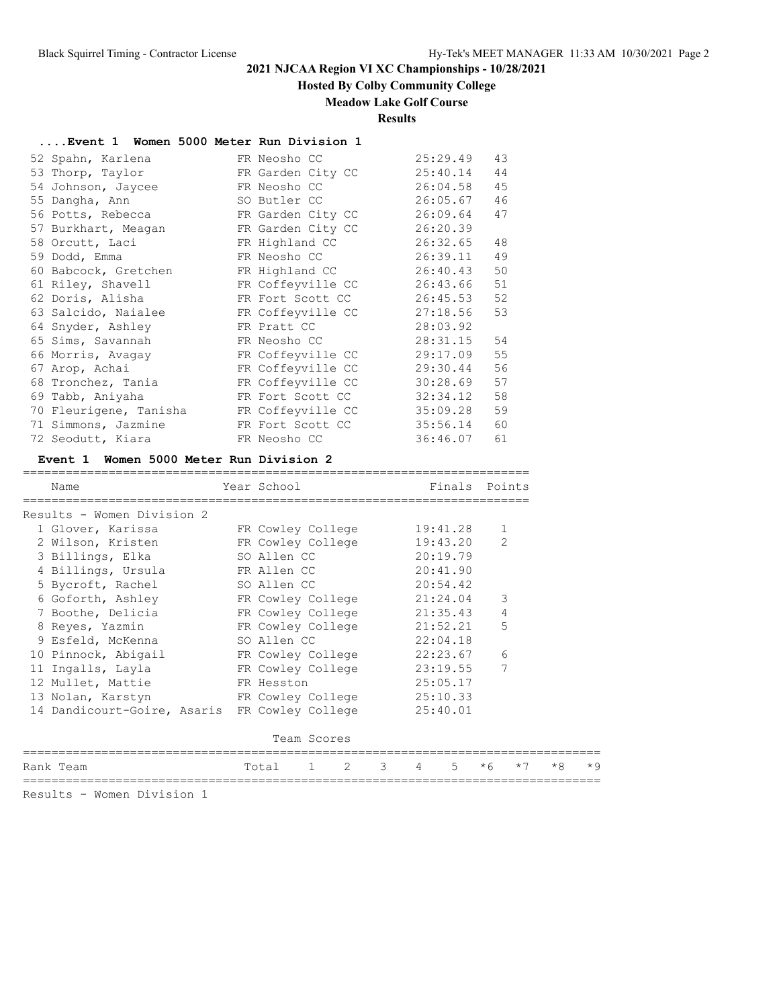## **Hosted By Colby Community College**

### **Meadow Lake Golf Course**

**Results**

| Event 1 Women 5000 Meter Run Division 1 |  |  |  |  |  |  |  |  |
|-----------------------------------------|--|--|--|--|--|--|--|--|
|-----------------------------------------|--|--|--|--|--|--|--|--|

| 52 Spahn, Karlena      | FR Neosho CC      | 25:29.49      | 43 |
|------------------------|-------------------|---------------|----|
| 53 Thorp, Taylor       | FR Garden City CC | 25:40.14      | 44 |
| 54 Johnson, Jaycee     | FR Neosho CC      | 26:04.58      | 45 |
| 55 Dangha, Ann         | SO Butler CC      | 26:05.67      | 46 |
| 56 Potts, Rebecca      | FR Garden City CC | 26:09.64      | 47 |
| 57 Burkhart, Meagan    | FR Garden City CC | 26:20.39      |    |
| 58 Orcutt, Laci        | FR Highland CC    | 26:32.65      | 48 |
| 59 Dodd, Emma          | FR Neosho CC      | 26:39.11      | 49 |
| 60 Babcock, Gretchen   | FR Highland CC    | 26:40.43      | 50 |
| 61 Riley, Shavell      | FR Coffeyville CC | 26:43.66      | 51 |
| 62 Doris, Alisha       | FR Fort Scott CC  | $26:45.53$ 52 |    |
| 63 Salcido, Naialee    | FR Coffeyville CC | 27:18.56      | 53 |
| 64 Snyder, Ashley      | FR Pratt CC       | 28:03.92      |    |
| 65 Sims, Savannah      | FR Neosho CC      | 28:31.15      | 54 |
| 66 Morris, Avagay      | FR Coffeyville CC | 29:17.09      | 55 |
| 67 Arop, Achai         | FR Coffeyville CC | 29:30.44      | 56 |
| 68 Tronchez, Tania     | FR Coffeyville CC | 30:28.69      | 57 |
| 69 Tabb, Aniyaha       | FR Fort Scott CC  | 32:34.12      | 58 |
| 70 Fleurigene, Tanisha | FR Coffeyville CC | 35:09.28      | 59 |
| 71 Simmons, Jazmine    | FR Fort Scott CC  | 35:56.14      | 60 |
| 72 Seodutt, Kiara      | FR Neosho CC      | 36:46.07      | 61 |

### **Event 1 Women 5000 Meter Run Division 2**

| Name      |                                     | Year School |                            |   |          |    | Finals Points |      |      |
|-----------|-------------------------------------|-------------|----------------------------|---|----------|----|---------------|------|------|
|           | Results - Women Division 2          |             |                            |   |          |    |               |      |      |
|           | 1 Glover, Karissa                   |             | FR Cowley College          |   | 19:41.28 |    | $\mathbf{1}$  |      |      |
|           | 2 Wilson, Kristen                   |             | FR Cowley College          |   | 19:43.20 |    | $\mathcal{L}$ |      |      |
|           | 3 Billings, Elka                    | SO Allen CC |                            |   | 20:19.79 |    |               |      |      |
|           | 4 Billings, Ursula                  | FR Allen CC |                            |   | 20:41.90 |    |               |      |      |
|           | 5 Bycroft, Rachel                   | SO Allen CC |                            |   | 20:54.42 |    |               |      |      |
|           | 6 Goforth, Ashley TR Cowley College |             |                            |   | 21:24.04 |    | 3             |      |      |
|           | 7 Boothe, Delicia                   |             | FR Cowley College          |   | 21:35.43 |    | 4             |      |      |
|           | 8 Reyes, Yazmin                     |             | FR Cowley College 21:52.21 |   |          |    | 5             |      |      |
|           | 9 Esfeld, McKenna                   | SO Allen CC |                            |   | 22:04.18 |    |               |      |      |
|           | 10 Pinnock, Abigail                 |             | FR Cowley College          |   | 22:23.67 |    | 6             |      |      |
|           | 11 Ingalls, Layla                   |             | FR Cowley College 23:19.55 |   |          |    | 7             |      |      |
|           | 12 Mullet, Mattie                   | FR Hesston  |                            |   | 25:05.17 |    |               |      |      |
|           | 13 Nolan, Karstyn                   |             | FR Cowley College          |   | 25:10.33 |    |               |      |      |
|           | 14 Dandicourt-Goire, Asaris         |             | FR Cowley College          |   | 25:40.01 |    |               |      |      |
|           |                                     |             | Team Scores                |   |          |    |               |      |      |
| Rank Team |                                     | Total       | 2<br>$\mathbf{1}$          | 3 | 4        | .5 | $*6$          | $*7$ | $*8$ |

Results - Women Division 1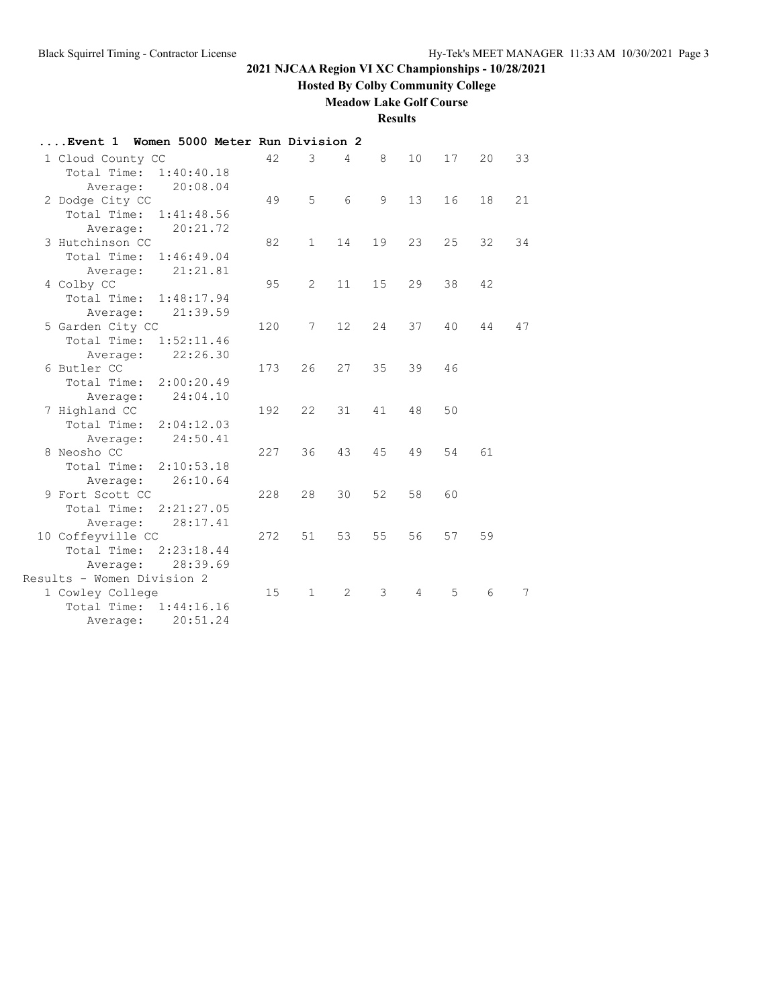**Hosted By Colby Community College**

## **Meadow Lake Golf Course**

**Results**

| Event 1 Women 5000 Meter Run Division 2 |            |     |                 |                |    |    |    |    |    |
|-----------------------------------------|------------|-----|-----------------|----------------|----|----|----|----|----|
| 1 Cloud County CC                       |            | 42  | 3               | $\overline{4}$ | 8  | 10 | 17 | 20 | 33 |
| Total Time:                             | 1:40:40.18 |     |                 |                |    |    |    |    |    |
| Average:                                | 20:08.04   |     |                 |                |    |    |    |    |    |
| 2 Dodge City CC                         |            | 49  | 5               | 6              | 9  | 13 | 16 | 18 | 21 |
| Total Time:                             | 1:41:48.56 |     |                 |                |    |    |    |    |    |
| Average:                                | 20:21.72   |     |                 |                |    |    |    |    |    |
| 3 Hutchinson CC                         |            | 82  | $\mathbf{1}$    | 14             | 19 | 23 | 25 | 32 | 34 |
| Total Time:                             | 1:46:49.04 |     |                 |                |    |    |    |    |    |
| Average:                                | 21:21.81   |     |                 |                |    |    |    |    |    |
| 4 Colby CC                              |            | 95  | 2               | 11             | 15 | 29 | 38 | 42 |    |
| Total Time:                             | 1:48:17.94 |     |                 |                |    |    |    |    |    |
| Average:                                | 21:39.59   |     |                 |                |    |    |    |    |    |
| 5 Garden City CC                        |            | 120 | $7\phantom{.0}$ | 12             | 24 | 37 | 40 | 44 | 47 |
| Total Time:                             | 1:52:11.46 |     |                 |                |    |    |    |    |    |
| Average:                                | 22:26.30   |     |                 |                |    |    |    |    |    |
| 6 Butler CC                             |            | 173 | 26              | 27             | 35 | 39 | 46 |    |    |
| Total Time:                             | 2:00:20.49 |     |                 |                |    |    |    |    |    |
| Average:                                | 24:04.10   | 192 | 22              | 31             | 41 | 48 | 50 |    |    |
| 7 Highland CC<br>Total Time: 2:04:12.03 |            |     |                 |                |    |    |    |    |    |
| Average:                                | 24:50.41   |     |                 |                |    |    |    |    |    |
| 8 Neosho CC                             |            | 227 | 36              | 43             | 45 | 49 | 54 | 61 |    |
| Total Time: 2:10:53.18                  |            |     |                 |                |    |    |    |    |    |
| Average:                                | 26:10.64   |     |                 |                |    |    |    |    |    |
| 9 Fort Scott CC                         |            | 228 | 28              | 30             | 52 | 58 | 60 |    |    |
| Total Time:                             | 2:21:27.05 |     |                 |                |    |    |    |    |    |
| Average:                                | 28:17.41   |     |                 |                |    |    |    |    |    |
| 10 Coffeyville CC                       |            | 272 | 51              | 53             | 55 | 56 | 57 | 59 |    |
| Total Time:                             | 2:23:18.44 |     |                 |                |    |    |    |    |    |
| Average:                                | 28:39.69   |     |                 |                |    |    |    |    |    |
| Results - Women Division 2              |            |     |                 |                |    |    |    |    |    |
| 1 Cowley College                        |            | 15  | $\mathbf{1}$    | 2              | 3  | 4  | 5  | 6  | 7  |
| Total Time:                             | 1:44:16.16 |     |                 |                |    |    |    |    |    |
| Average:                                | 20:51.24   |     |                 |                |    |    |    |    |    |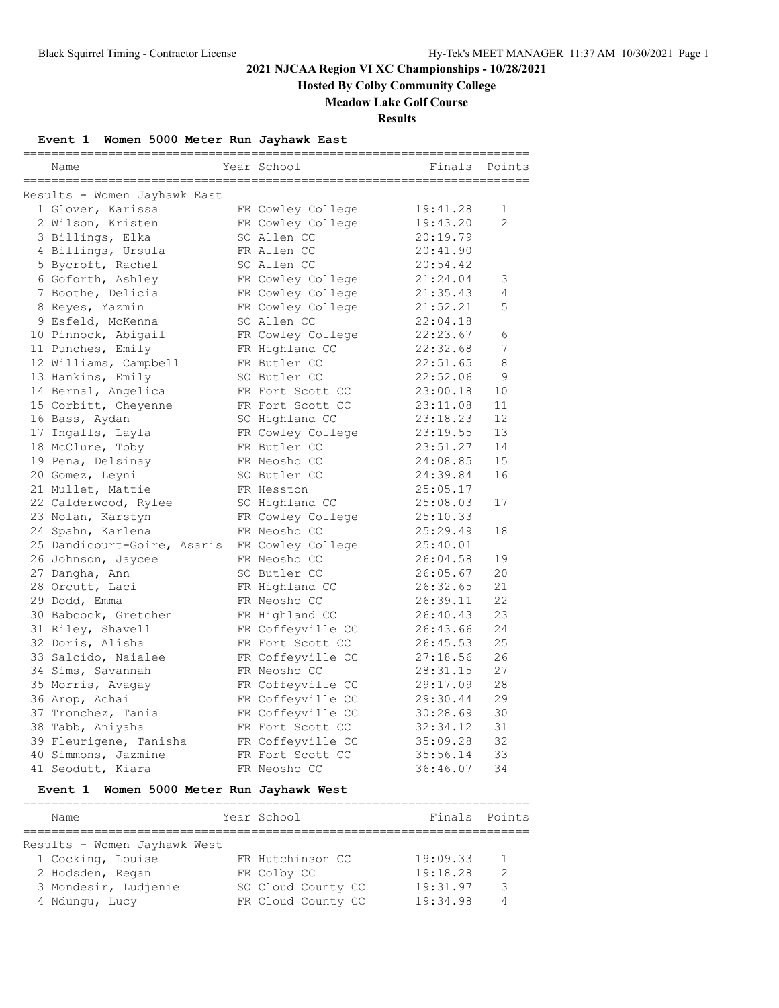**Hosted By Colby Community College**

### **Meadow Lake Golf Course**

**Results**

### **Event 1 Women 5000 Meter Run Jayhawk East**

| Name                         | Year School       | -------------------------------<br>Finals | Points         |
|------------------------------|-------------------|-------------------------------------------|----------------|
| Results - Women Jayhawk East |                   |                                           |                |
| 1 Glover, Karissa            | FR Cowley College | 19:41.28                                  | 1              |
| 2 Wilson, Kristen            | FR Cowley College | 19:43.20                                  | $\overline{2}$ |
| 3 Billings, Elka             | SO Allen CC       | 20:19.79                                  |                |
| 4 Billings, Ursula           | FR Allen CC       | 20:41.90                                  |                |
| 5 Bycroft, Rachel            | SO Allen CC       | 20:54.42                                  |                |
| 6 Goforth, Ashley            | FR Cowley College | 21:24.04                                  | 3              |
| 7 Boothe, Delicia            | FR Cowley College | 21:35.43                                  | 4              |
| 8 Reyes, Yazmin              | FR Cowley College | 21:52.21                                  | 5              |
| 9 Esfeld, McKenna            | SO Allen CC       | 22:04.18                                  |                |
| 10 Pinnock, Abigail          | FR Cowley College | 22:23.67                                  | 6              |
| 11 Punches, Emily            | FR Highland CC    | 22:32.68                                  | 7              |
| 12 Williams, Campbell        | FR Butler CC      | 22:51.65                                  | 8              |
| 13 Hankins, Emily            | SO Butler CC      | 22:52.06                                  | 9              |
| 14 Bernal, Angelica          | FR Fort Scott CC  | 23:00.18                                  | 10             |
| 15 Corbitt, Cheyenne         | FR Fort Scott CC  | 23:11.08                                  | 11             |
| 16 Bass, Aydan               | SO Highland CC    | 23:18.23                                  | 12             |
| 17 Ingalls, Layla            | FR Cowley College | 23:19.55                                  | 13             |
| 18 McClure, Toby             | FR Butler CC      | 23:51.27                                  | 14             |
| 19 Pena, Delsinay            | FR Neosho CC      | 24:08.85                                  | 15             |
| 20 Gomez, Leyni              | SO Butler CC      | 24:39.84                                  | 16             |
| 21 Mullet, Mattie            | FR Hesston        | 25:05.17                                  |                |
| 22 Calderwood, Rylee         | SO Highland CC    | 25:08.03                                  | 17             |
| 23 Nolan, Karstyn            | FR Cowley College | 25:10.33                                  |                |
| 24 Spahn, Karlena            | FR Neosho CC      | 25:29.49                                  | 18             |
| 25 Dandicourt-Goire, Asaris  | FR Cowley College | 25:40.01                                  |                |
| 26 Johnson, Jaycee           | FR Neosho CC      | 26:04.58                                  | 19             |
| 27 Dangha, Ann               | SO Butler CC      | 26:05.67                                  | 20             |
| 28 Orcutt, Laci              | FR Highland CC    | 26:32.65                                  | 21             |
| 29 Dodd, Emma                | FR Neosho CC      | 26:39.11                                  | 22             |
| 30 Babcock, Gretchen         | FR Highland CC    | 26:40.43                                  | 23             |
| 31 Riley, Shavell            | FR Coffeyville CC | 26:43.66                                  | 24             |
| 32 Doris, Alisha             | FR Fort Scott CC  | 26:45.53                                  | 25             |
| 33 Salcido, Naialee          | FR Coffeyville CC | 27:18.56                                  | 26             |
| 34 Sims, Savannah            | FR Neosho CC      | 28:31.15                                  | 27             |
| 35 Morris, Avagay            | FR Coffeyville CC | 29:17.09                                  | 28             |
| 36 Arop, Achai               | FR Coffeyville CC | 29:30.44                                  | 29             |
| 37 Tronchez, Tania           | FR Coffeyville CC | 30:28.69                                  | 30             |
| 38 Tabb, Aniyaha             | FR Fort Scott CC  | 32:34.12                                  | 31             |
| 39 Fleurigene, Tanisha       | FR Coffeyville CC | 35:09.28                                  | 32             |
| 40 Simmons, Jazmine          | FR Fort Scott CC  | 35:56.14                                  | 33             |
| 41 Seodutt, Kiara            | FR Neosho CC      | 36:46.07                                  | 34             |

#### **Event 1 Women 5000 Meter Run Jayhawk West**

| Name                         | Year School        | Finals Points |               |
|------------------------------|--------------------|---------------|---------------|
| Results - Women Jayhawk West |                    |               |               |
| 1 Cocking, Louise            | FR Hutchinson CC   | 19:09.33      |               |
| 2 Hodsden, Regan             | FR Colby CC        | 19:18.28      | $\mathcal{L}$ |
| 3 Mondesir, Ludjenie         | SO Cloud County CC | 19:31.97      | 3             |
| 4 Ndungu, Lucy               | FR Cloud County CC | 19:34.98      |               |
|                              |                    |               |               |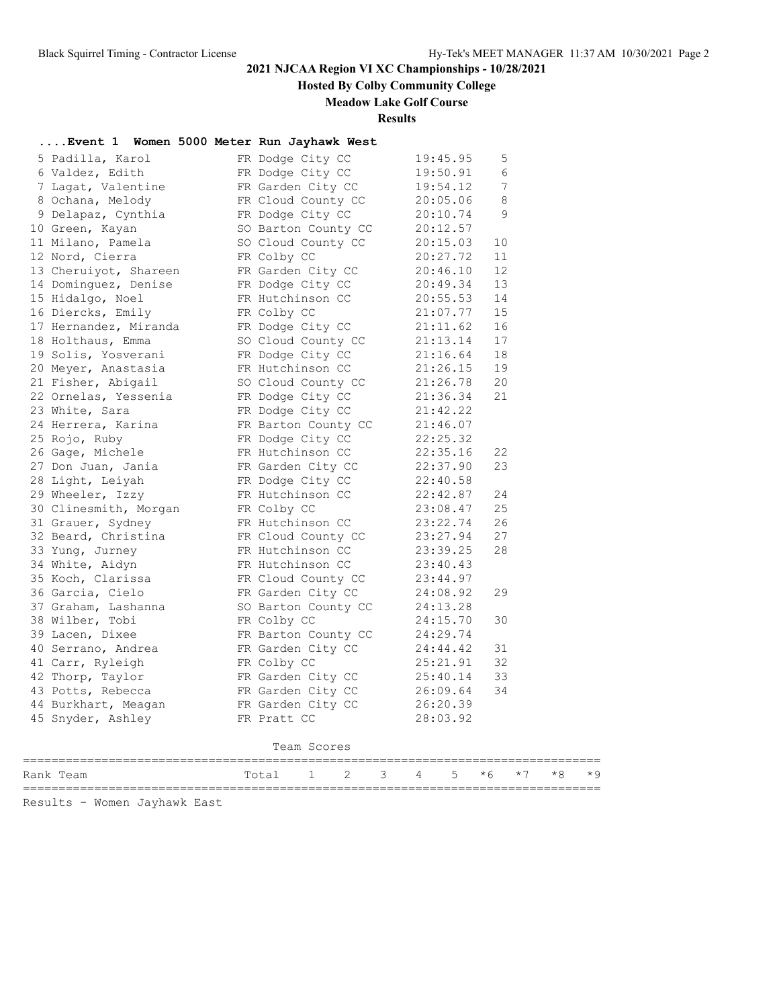**Hosted By Colby Community College**

### **Meadow Lake Golf Course**

**Results**

## **....Event 1 Women 5000 Meter Run Jayhawk West**

| 5 Padilla, Karol      | FR Dodge City CC    | 19:45.95 | 5  |
|-----------------------|---------------------|----------|----|
| 6 Valdez, Edith       | FR Dodge City CC    | 19:50.91 | 6  |
| 7 Lagat, Valentine    | FR Garden City CC   | 19:54.12 | 7  |
| 8 Ochana, Melody      | FR Cloud County CC  | 20:05.06 | 8  |
| 9 Delapaz, Cynthia    | FR Dodge City CC    | 20:10.74 | 9  |
| 10 Green, Kayan       | SO Barton County CC | 20:12.57 |    |
| 11 Milano, Pamela     | SO Cloud County CC  | 20:15.03 | 10 |
| 12 Nord, Cierra       | FR Colby CC         | 20:27.72 | 11 |
| 13 Cheruiyot, Shareen | FR Garden City CC   | 20:46.10 | 12 |
| 14 Dominquez, Denise  | FR Dodge City CC    | 20:49.34 | 13 |
| 15 Hidalgo, Noel      | FR Hutchinson CC    | 20:55.53 | 14 |
| 16 Diercks, Emily     | FR Colby CC         | 21:07.77 | 15 |
| 17 Hernandez, Miranda | FR Dodge City CC    | 21:11.62 | 16 |
| 18 Holthaus, Emma     | SO Cloud County CC  | 21:13.14 | 17 |
| 19 Solis, Yosverani   | FR Dodge City CC    | 21:16.64 | 18 |
| 20 Meyer, Anastasia   | FR Hutchinson CC    | 21:26.15 | 19 |
| 21 Fisher, Abigail    | SO Cloud County CC  | 21:26.78 | 20 |
| 22 Ornelas, Yessenia  | FR Dodge City CC    | 21:36.34 | 21 |
| 23 White, Sara        | FR Dodge City CC    | 21:42.22 |    |
| 24 Herrera, Karina    | FR Barton County CC | 21:46.07 |    |
| 25 Rojo, Ruby         | FR Dodge City CC    | 22:25.32 |    |
| 26 Gage, Michele      | FR Hutchinson CC    | 22:35.16 | 22 |
| 27 Don Juan, Jania    | FR Garden City CC   | 22:37.90 | 23 |
| 28 Light, Leiyah      | FR Dodge City CC    | 22:40.58 |    |
| 29 Wheeler, Izzy      | FR Hutchinson CC    | 22:42.87 | 24 |
| 30 Clinesmith, Morgan | FR Colby CC         | 23:08.47 | 25 |
| 31 Grauer, Sydney     | FR Hutchinson CC    | 23:22.74 | 26 |
| 32 Beard, Christina   | FR Cloud County CC  | 23:27.94 | 27 |
| 33 Yung, Jurney       | FR Hutchinson CC    | 23:39.25 | 28 |
| 34 White, Aidyn       | FR Hutchinson CC    | 23:40.43 |    |
| 35 Koch, Clarissa     | FR Cloud County CC  | 23:44.97 |    |
| 36 Garcia, Cielo      | FR Garden City CC   | 24:08.92 | 29 |
| 37 Graham, Lashanna   | SO Barton County CC | 24:13.28 |    |
| 38 Wilber, Tobi       | FR Colby CC         | 24:15.70 | 30 |
| 39 Lacen, Dixee       | FR Barton County CC | 24:29.74 |    |
| 40 Serrano, Andrea    | FR Garden City CC   | 24:44.42 | 31 |
| 41 Carr, Ryleigh      | FR Colby CC         | 25:21.91 | 32 |
| 42 Thorp, Taylor      | FR Garden City CC   | 25:40.14 | 33 |
| 43 Potts, Rebecca     | FR Garden City CC   | 26:09.64 | 34 |
| 44 Burkhart, Meagan   | FR Garden City CC   | 26:20.39 |    |
| 45 Snyder, Ashley     | FR Pratt CC         | 28:03.92 |    |
|                       |                     |          |    |
|                       | Team Scores         |          |    |
|                       |                     |          |    |

Rank Team 1 2 3 4 5 \*6 \*7 \*8 \*9 =================================================================================

Results - Women Jayhawk East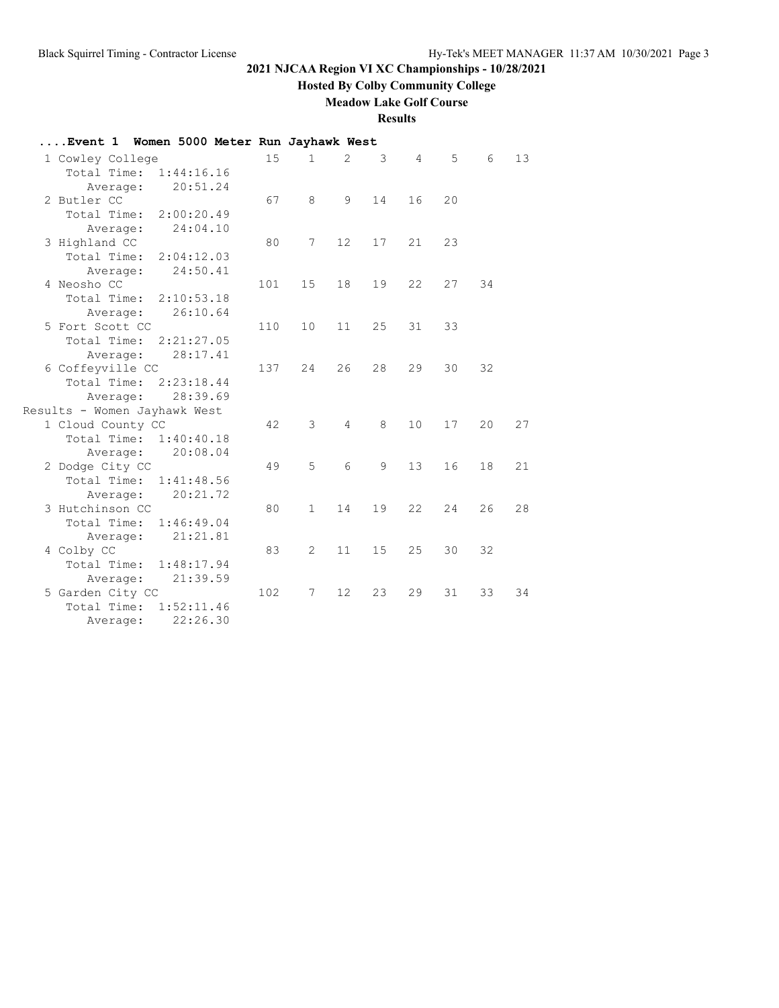**Hosted By Colby Community College**

**Meadow Lake Golf Course**

**Results**

| Event 1 Women 5000 Meter Run Jayhawk West |            |     |                |                   |    |                |    |    |    |
|-------------------------------------------|------------|-----|----------------|-------------------|----|----------------|----|----|----|
| 1 Cowley College                          |            | 15  | $\mathbf{1}$   | $\overline{2}$    | 3  | $\overline{4}$ | 5  | 6  | 13 |
| Total Time:                               | 1:44:16.16 |     |                |                   |    |                |    |    |    |
| Average:                                  | 20:51.24   |     |                |                   |    |                |    |    |    |
| 2 Butler CC                               |            | 67  | 8              | 9                 | 14 | 16             | 20 |    |    |
| Total Time: 2:00:20.49                    |            |     |                |                   |    |                |    |    |    |
| Average:                                  | 24:04.10   |     |                |                   |    |                |    |    |    |
| 3 Highland CC                             |            | 80  | 7              | $12 \overline{ }$ | 17 | 21             | 23 |    |    |
| Total Time: 2:04:12.03                    |            |     |                |                   |    |                |    |    |    |
| Average:                                  | 24:50.41   |     |                |                   |    |                |    |    |    |
| 4 Neosho CC                               |            | 101 | 15             | 18                | 19 | 22             | 27 | 34 |    |
| Total Time: 2:10:53.18                    |            |     |                |                   |    |                |    |    |    |
| Average:                                  | 26:10.64   |     |                |                   |    |                |    |    |    |
| 5 Fort Scott CC                           |            | 110 | 10             | 11                | 25 | 31             | 33 |    |    |
| Total Time: 2:21:27.05                    |            |     |                |                   |    |                |    |    |    |
| Average:                                  | 28:17.41   |     |                |                   |    |                |    |    |    |
| 6 Coffeyville CC                          |            | 137 | 24             | 26                | 28 | 29             | 30 | 32 |    |
| Total Time: 2:23:18.44                    |            |     |                |                   |    |                |    |    |    |
| Average:                                  | 28:39.69   |     |                |                   |    |                |    |    |    |
| Results - Women Jayhawk West              |            |     |                |                   |    |                |    |    |    |
| 1 Cloud County CC                         |            | 42  | 3              | $\overline{4}$    | 8  | 10             | 17 | 20 | 27 |
| Total Time: 1:40:40.18                    |            |     |                |                   |    |                |    |    |    |
| Average:                                  | 20:08.04   |     |                |                   |    |                |    |    |    |
| 2 Dodge City CC                           |            | 49  | 5              | 6                 | 9  | 13             | 16 | 18 | 21 |
| Total Time: 1:41:48.56                    |            |     |                |                   |    |                |    |    |    |
| Average:                                  | 20:21.72   |     |                |                   |    |                |    |    |    |
| 3 Hutchinson CC                           |            | 80  | $\mathbf{1}$   | 14                | 19 | 22             | 24 | 26 | 28 |
| Total Time:                               | 1:46:49.04 |     |                |                   |    |                |    |    |    |
| Average:                                  | 21:21.81   |     |                |                   |    |                |    |    |    |
| 4 Colby CC                                |            | 83  | $\overline{2}$ | 11                | 15 | 25             | 30 | 32 |    |
| Total Time: 1:48:17.94                    |            |     |                |                   |    |                |    |    |    |
| Average:                                  | 21:39.59   |     |                |                   |    |                |    |    |    |
| 5 Garden City CC<br>Total Time:           |            | 102 | 7              | 12                | 23 | 29             | 31 | 33 | 34 |
|                                           | 1:52:11.46 |     |                |                   |    |                |    |    |    |
| Average:                                  | 22:26.30   |     |                |                   |    |                |    |    |    |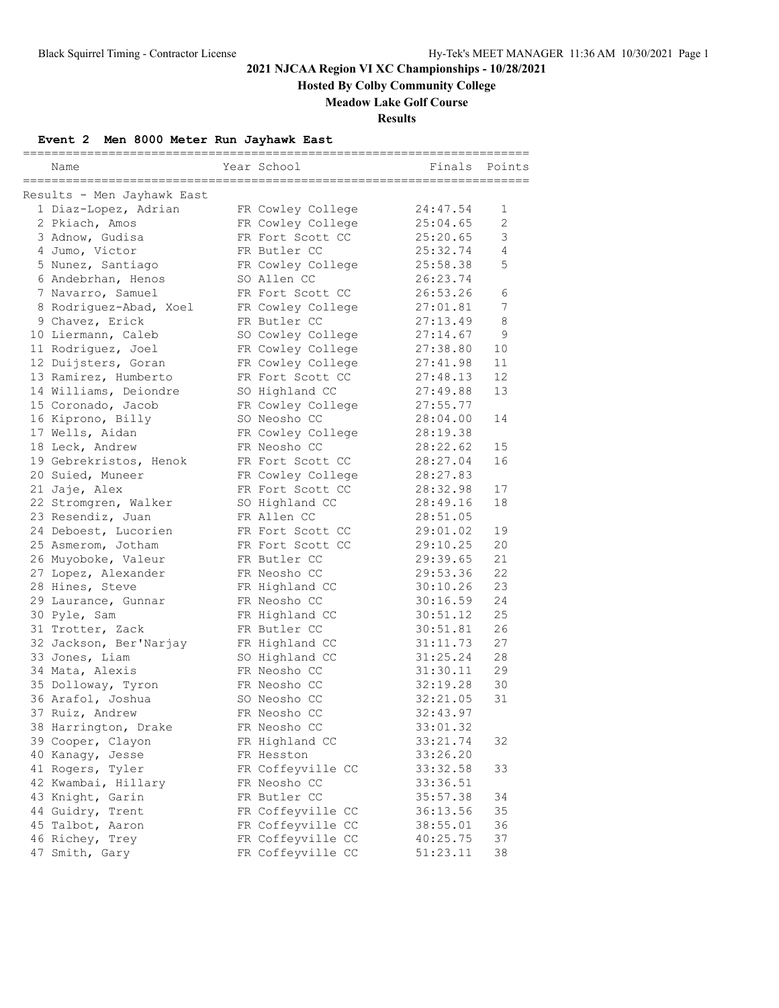**Hosted By Colby Community College**

### **Meadow Lake Golf Course**

**Results**

## **Event 2 Men 8000 Meter Run Jayhawk East**

| ======== |                            |  |                   |          |                |  |  |  |
|----------|----------------------------|--|-------------------|----------|----------------|--|--|--|
|          | Name                       |  | Year School       | Finals   | Points         |  |  |  |
|          |                            |  |                   |          |                |  |  |  |
|          | Results - Men Jayhawk East |  |                   |          |                |  |  |  |
|          | 1 Diaz-Lopez, Adrian       |  | FR Cowley College | 24:47.54 | 1              |  |  |  |
|          | 2 Pkiach, Amos             |  | FR Cowley College | 25:04.65 | $\overline{2}$ |  |  |  |
|          | 3 Adnow, Gudisa            |  | FR Fort Scott CC  | 25:20.65 | 3              |  |  |  |
|          | 4 Jumo, Victor             |  | FR Butler CC      | 25:32.74 | $\overline{4}$ |  |  |  |
|          | 5 Nunez, Santiago          |  | FR Cowley College | 25:58.38 | 5              |  |  |  |
|          | 6 Andebrhan, Henos         |  | SO Allen CC       | 26:23.74 |                |  |  |  |
|          | 7 Navarro, Samuel          |  | FR Fort Scott CC  | 26:53.26 | 6              |  |  |  |
|          | 8 Rodriguez-Abad, Xoel     |  | FR Cowley College | 27:01.81 | 7              |  |  |  |
|          | 9 Chavez, Erick            |  | FR Butler CC      | 27:13.49 | 8              |  |  |  |
|          | 10 Liermann, Caleb         |  | SO Cowley College | 27:14.67 | 9              |  |  |  |
|          | 11 Rodriguez, Joel         |  | FR Cowley College | 27:38.80 | 10             |  |  |  |
|          | 12 Duijsters, Goran        |  | FR Cowley College | 27:41.98 | 11             |  |  |  |
|          | 13 Ramirez, Humberto       |  | FR Fort Scott CC  | 27:48.13 | 12             |  |  |  |
|          | 14 Williams, Deiondre      |  | SO Highland CC    | 27:49.88 | 13             |  |  |  |
|          | 15 Coronado, Jacob         |  | FR Cowley College | 27:55.77 |                |  |  |  |
|          | 16 Kiprono, Billy          |  | SO Neosho CC      | 28:04.00 | 14             |  |  |  |
|          | 17 Wells, Aidan            |  | FR Cowley College | 28:19.38 |                |  |  |  |
|          | 18 Leck, Andrew            |  | FR Neosho CC      | 28:22.62 | 15             |  |  |  |
|          | 19 Gebrekristos, Henok     |  | FR Fort Scott CC  | 28:27.04 | 16             |  |  |  |
|          | 20 Suied, Muneer           |  | FR Cowley College | 28:27.83 |                |  |  |  |
|          | 21 Jaje, Alex              |  | FR Fort Scott CC  | 28:32.98 | 17             |  |  |  |
|          | 22 Stromgren, Walker       |  | SO Highland CC    | 28:49.16 | 18             |  |  |  |
|          | 23 Resendiz, Juan          |  | FR Allen CC       | 28:51.05 |                |  |  |  |
|          | 24 Deboest, Lucorien       |  | FR Fort Scott CC  | 29:01.02 | 19             |  |  |  |
|          | 25 Asmerom, Jotham         |  | FR Fort Scott CC  | 29:10.25 | 20             |  |  |  |
|          | 26 Muyoboke, Valeur        |  | FR Butler CC      | 29:39.65 | 21             |  |  |  |
|          | 27 Lopez, Alexander        |  | FR Neosho CC      | 29:53.36 | 22             |  |  |  |
|          | 28 Hines, Steve            |  | FR Highland CC    | 30:10.26 | 23             |  |  |  |
|          | 29 Laurance, Gunnar        |  | FR Neosho CC      | 30:16.59 | 24             |  |  |  |
|          | 30 Pyle, Sam               |  | FR Highland CC    | 30:51.12 | 25             |  |  |  |
|          | 31 Trotter, Zack           |  | FR Butler CC      | 30:51.81 | 26             |  |  |  |
|          | 32 Jackson, Ber'Narjay     |  | FR Highland CC    | 31:11.73 | 27             |  |  |  |
|          | 33 Jones, Liam             |  | SO Highland CC    | 31:25.24 | 28             |  |  |  |
|          | 34 Mata, Alexis            |  | FR Neosho CC      | 31:30.11 | 29             |  |  |  |
|          | 35 Dolloway, Tyron         |  | FR Neosho CC      | 32:19.28 | 30             |  |  |  |
|          | 36 Arafol, Joshua          |  | SO Neosho CC      | 32:21.05 | 31             |  |  |  |
|          | 37 Ruiz, Andrew            |  | FR Neosho CC      | 32:43.97 |                |  |  |  |
|          | 38 Harrington, Drake       |  | FR Neosho CC      | 33:01.32 |                |  |  |  |
|          | 39 Cooper, Clayon          |  | FR Highland CC    | 33:21.74 | 32             |  |  |  |
|          | 40 Kanagy, Jesse           |  | FR Hesston        | 33:26.20 |                |  |  |  |
|          | 41 Rogers, Tyler           |  | FR Coffeyville CC | 33:32.58 | 33             |  |  |  |
|          | 42 Kwambai, Hillary        |  | FR Neosho CC      | 33:36.51 |                |  |  |  |
|          | 43 Knight, Garin           |  | FR Butler CC      | 35:57.38 | 34             |  |  |  |
|          | 44 Guidry, Trent           |  | FR Coffeyville CC | 36:13.56 | 35             |  |  |  |
|          | 45 Talbot, Aaron           |  | FR Coffeyville CC | 38:55.01 | 36             |  |  |  |
|          | 46 Richey, Trey            |  | FR Coffeyville CC | 40:25.75 | 37             |  |  |  |
|          | 47 Smith, Gary             |  | FR Coffeyville CC | 51:23.11 | 38             |  |  |  |
|          |                            |  |                   |          |                |  |  |  |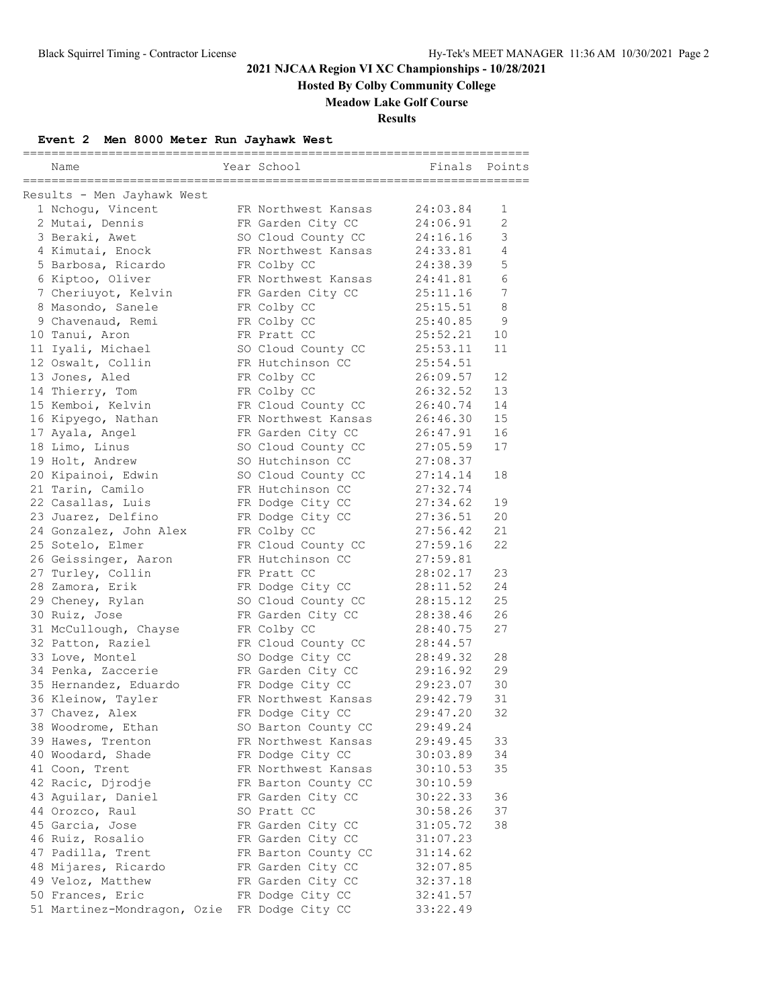**Hosted By Colby Community College**

### **Meadow Lake Golf Course**

**Results**

## **Event 2 Men 8000 Meter Run Jayhawk West**

| Name                        | Year School         | -----------------------<br>Finals | Points         |
|-----------------------------|---------------------|-----------------------------------|----------------|
| Results - Men Jayhawk West  |                     |                                   |                |
| 1 Nchoqu, Vincent           | FR Northwest Kansas | 24:03.84                          | 1              |
| 2 Mutai, Dennis             | FR Garden City CC   | 24:06.91                          | $\overline{2}$ |
| 3 Beraki, Awet              | SO Cloud County CC  | 24:16.16                          | 3              |
| 4 Kimutai, Enock            | FR Northwest Kansas | 24:33.81                          | $\overline{4}$ |
| 5 Barbosa, Ricardo          | FR Colby CC         | 24:38.39                          | 5              |
| 6 Kiptoo, Oliver            | FR Northwest Kansas | 24:41.81                          | 6              |
| 7 Cheriuyot, Kelvin         | FR Garden City CC   | 25:11.16                          | 7              |
| 8 Masondo, Sanele           | FR Colby CC         | 25:15.51                          | 8              |
| 9 Chavenaud, Remi           | FR Colby CC         | 25:40.85                          | 9              |
| 10 Tanui, Aron              | FR Pratt CC         | 25:52.21                          | 10             |
| 11 Iyali, Michael           | SO Cloud County CC  | 25:53.11                          | 11             |
| 12 Oswalt, Collin           | FR Hutchinson CC    | 25:54.51                          |                |
| 13 Jones, Aled              | FR Colby CC         | 26:09.57                          | 12             |
| 14 Thierry, Tom             | FR Colby CC         | 26:32.52                          | 13             |
| 15 Kemboi, Kelvin           | FR Cloud County CC  | 26:40.74                          | 14             |
| 16 Kipyego, Nathan          | FR Northwest Kansas | 26:46.30                          | 15             |
| 17 Ayala, Angel             | FR Garden City CC   | 26:47.91                          | 16             |
| 18 Limo, Linus              | SO Cloud County CC  | 27:05.59                          | 17             |
| 19 Holt, Andrew             | SO Hutchinson CC    | 27:08.37                          |                |
| 20 Kipainoi, Edwin          | SO Cloud County CC  | 27:14.14                          | 18             |
| 21 Tarin, Camilo            | FR Hutchinson CC    | 27:32.74                          |                |
| 22 Casallas, Luis           | FR Dodge City CC    | 27:34.62                          | 19             |
| 23 Juarez, Delfino          | FR Dodge City CC    | 27:36.51                          | 20             |
| 24 Gonzalez, John Alex      | FR Colby CC         | 27:56.42                          | 21             |
| 25 Sotelo, Elmer            | FR Cloud County CC  | 27:59.16                          | 22             |
| 26 Geissinger, Aaron        | FR Hutchinson CC    | 27:59.81                          |                |
| 27 Turley, Collin           | FR Pratt CC         | 28:02.17                          | 23             |
| 28 Zamora, Erik             | FR Dodge City CC    | 28:11.52                          | 24             |
| 29 Cheney, Rylan            | SO Cloud County CC  | 28:15.12                          | 25             |
| 30 Ruiz, Jose               | FR Garden City CC   | 28:38.46                          | 26             |
| 31 McCullough, Chayse       | FR Colby CC         | 28:40.75                          | 27             |
| 32 Patton, Raziel           | FR Cloud County CC  | 28:44.57                          |                |
| 33 Love, Montel             | SO Dodge City CC    | 28:49.32                          | 28             |
| 34 Penka, Zaccerie          | FR Garden City CC   | 29:16.92                          | 29             |
| 35 Hernandez, Eduardo       | FR Dodge City CC    | 29:23.07                          | 30             |
| 36 Kleinow, Tayler          | FR Northwest Kansas | 29:42.79                          | 31             |
| 37 Chavez, Alex             | FR Dodge City CC    | 29:47.20                          | 32             |
| 38 Woodrome, Ethan          | SO Barton County CC | 29:49.24                          |                |
| 39 Hawes, Trenton           | FR Northwest Kansas | 29:49.45                          | 33             |
| 40 Woodard, Shade           | FR Dodge City CC    | 30:03.89                          | 34             |
| 41 Coon, Trent              | FR Northwest Kansas | 30:10.53                          | 35             |
| 42 Racic, Djrodje           | FR Barton County CC | 30:10.59                          |                |
| 43 Aguilar, Daniel          | FR Garden City CC   | 30:22.33                          | 36             |
| 44 Orozco, Raul             | SO Pratt CC         | 30:58.26                          | 37             |
| 45 Garcia, Jose             | FR Garden City CC   | 31:05.72                          | 38             |
| 46 Ruiz, Rosalio            | FR Garden City CC   | 31:07.23                          |                |
| 47 Padilla, Trent           | FR Barton County CC | 31:14.62                          |                |
| 48 Mijares, Ricardo         | FR Garden City CC   | 32:07.85                          |                |
| 49 Veloz, Matthew           | FR Garden City CC   | 32:37.18                          |                |
| 50 Frances, Eric            | FR Dodge City CC    | 32:41.57                          |                |
| 51 Martinez-Mondragon, Ozie | FR Dodge City CC    | 33:22.49                          |                |